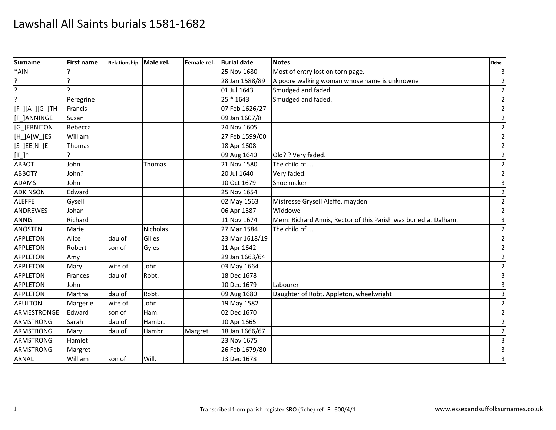| <b>Surname</b>      | <b>First name</b> | Relationship | Male rel. | Female rel. | <b>Burial date</b> | <b>Notes</b>                                                    | Fiche                   |
|---------------------|-------------------|--------------|-----------|-------------|--------------------|-----------------------------------------------------------------|-------------------------|
| *AIN                |                   |              |           |             | 25 Nov 1680        | Most of entry lost on torn page.                                | $\mathsf 3$             |
|                     |                   |              |           |             | 28 Jan 1588/89     | A poore walking woman whose name is unknowne                    | $\overline{2}$          |
| Ģ                   |                   |              |           |             | 01 Jul 1643        | Smudged and faded                                               | $\overline{2}$          |
| 7                   | Peregrine         |              |           |             | 25 * 1643          | Smudged and faded.                                              | $\overline{2}$          |
| $[F_l[A_l][G_l]$ TH | Francis           |              |           |             | 07 Feb 1626/27     |                                                                 | $\overline{2}$          |
| [F ]ANNINGE         | Susan             |              |           |             | 09 Jan 1607/8      |                                                                 | $\mathbf 2$             |
| <b>G JERNITON</b>   | Rebecca           |              |           |             | 24 Nov 1605        |                                                                 | $\mathbf 2$             |
| [H_]A[W_]ES         | William           |              |           |             | 27 Feb 1599/00     |                                                                 | $\mathbf 2$             |
| $[S_]EE[N_]E$       | Thomas            |              |           |             | 18 Apr 1608        |                                                                 | $\overline{2}$          |
| $[T_1^*]$           |                   |              |           |             | 09 Aug 1640        | Old? ? Very faded.                                              | $\mathbf{2}$            |
| <b>ABBOT</b>        | John              |              | Thomas    |             | 21 Nov 1580        | The child of                                                    | $\mathbf 2$             |
| ABBOT?              | John?             |              |           |             | 20 Jul 1640        | Very faded.                                                     | $\mathbf 2$             |
| <b>ADAMS</b>        | John              |              |           |             | 10 Oct 1679        | Shoe maker                                                      | $\overline{3}$          |
| <b>ADKINSON</b>     | Edward            |              |           |             | 25 Nov 1654        |                                                                 | $\mathbf 2$             |
| <b>ALEFFE</b>       | Gysell            |              |           |             | 02 May 1563        | Mistresse Grysell Aleffe, mayden                                | $\mathbf 2$             |
| <b>ANDREWES</b>     | Johan             |              |           |             | 06 Apr 1587        | Widdowe                                                         | $\mathbf 2$             |
| <b>ANNIS</b>        | Richard           |              |           |             | 11 Nov 1674        | Mem: Richard Annis, Rector of this Parish was buried at Dalham. | $\overline{\mathbf{3}}$ |
| <b>ANOSTEN</b>      | Marie             |              | Nicholas  |             | 27 Mar 1584        | The child of                                                    | $\overline{2}$          |
| <b>APPLETON</b>     | Alice             | dau of       | Gilles    |             | 23 Mar 1618/19     |                                                                 | $\mathbf 2$             |
| <b>APPLETON</b>     | Robert            | son of       | Gyles     |             | 11 Apr 1642        |                                                                 | $\mathbf 2$             |
| <b>APPLETON</b>     | Amy               |              |           |             | 29 Jan 1663/64     |                                                                 | $\overline{2}$          |
| <b>APPLETON</b>     | Mary              | wife of      | John      |             | 03 May 1664        |                                                                 | $\overline{2}$          |
| <b>APPLETON</b>     | Frances           | dau of       | Robt.     |             | 18 Dec 1678        |                                                                 | $\overline{\mathbf{3}}$ |
| <b>APPLETON</b>     | John              |              |           |             | 10 Dec 1679        | Labourer                                                        | $\overline{\mathbf{3}}$ |
| <b>APPLETON</b>     | Martha            | dau of       | Robt.     |             | 09 Aug 1680        | Daughter of Robt. Appleton, wheelwright                         | $\overline{3}$          |
| <b>APULTON</b>      | Margerie          | wife of      | John      |             | 19 May 1582        |                                                                 | $\mathbf 2$             |
| ARMESTRONGE         | Edward            | son of       | Ham.      |             | 02 Dec 1670        |                                                                 | $\mathbf 2$             |
| <b>ARMSTRONG</b>    | Sarah             | dau of       | Hambr.    |             | 10 Apr 1665        |                                                                 | $\mathbf 2$             |
| <b>ARMSTRONG</b>    | Mary              | dau of       | Hambr.    | Margret     | 18 Jan 1666/67     |                                                                 | $\mathbf 2$             |
| <b>ARMSTRONG</b>    | Hamlet            |              |           |             | 23 Nov 1675        |                                                                 | $\overline{3}$          |
| <b>ARMSTRONG</b>    | Margret           |              |           |             | 26 Feb 1679/80     |                                                                 | $\mathbf{3}$            |
| <b>ARNAL</b>        | William           | son of       | Will.     |             | 13 Dec 1678        |                                                                 | $\overline{3}$          |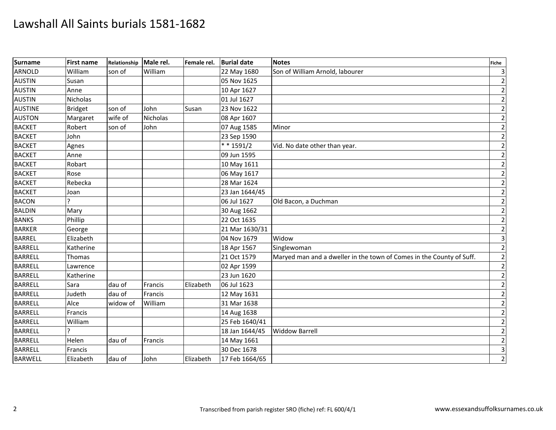| Surname        | <b>First name</b> | Relationship | Male rel.       | Female rel. | <b>Burial date</b> | <b>Notes</b>                                                         | Fiche          |
|----------------|-------------------|--------------|-----------------|-------------|--------------------|----------------------------------------------------------------------|----------------|
| <b>ARNOLD</b>  | William           | son of       | William         |             | 22 May 1680        | Son of William Arnold, labourer                                      | $\overline{3}$ |
| <b>AUSTIN</b>  | Susan             |              |                 |             | 05 Nov 1625        |                                                                      | $\overline{2}$ |
| <b>AUSTIN</b>  | Anne              |              |                 |             | 10 Apr 1627        |                                                                      | $\overline{2}$ |
| <b>AUSTIN</b>  | Nicholas          |              |                 |             | 01 Jul 1627        |                                                                      | $\overline{2}$ |
| <b>AUSTINE</b> | <b>Bridget</b>    | son of       | John            | Susan       | 23 Nov 1622        |                                                                      | $\mathbf{2}$   |
| <b>AUSTON</b>  | Margaret          | wife of      | <b>Nicholas</b> |             | 08 Apr 1607        |                                                                      | $\overline{2}$ |
| <b>BACKET</b>  | Robert            | son of       | John            |             | 07 Aug 1585        | Minor                                                                | $\mathbf 2$    |
| <b>BACKET</b>  | John              |              |                 |             | 23 Sep 1590        |                                                                      | $\mathbf 2$    |
| <b>BACKET</b>  | Agnes             |              |                 |             | $* * 1591/2$       | Vid. No date other than year.                                        | $\mathbf{2}$   |
| <b>BACKET</b>  | Anne              |              |                 |             | 09 Jun 1595        |                                                                      | $\overline{2}$ |
| <b>BACKET</b>  | Robart            |              |                 |             | 10 May 1611        |                                                                      | $\mathbf 2$    |
| <b>BACKET</b>  | Rose              |              |                 |             | 06 May 1617        |                                                                      | $\overline{2}$ |
| <b>BACKET</b>  | Rebecka           |              |                 |             | 28 Mar 1624        |                                                                      | $\overline{2}$ |
| <b>BACKET</b>  | Joan              |              |                 |             | 23 Jan 1644/45     |                                                                      | $\overline{2}$ |
| <b>BACON</b>   |                   |              |                 |             | 06 Jul 1627        | Old Bacon, a Duchman                                                 | $\mathbf 2$    |
| <b>BALDIN</b>  | Mary              |              |                 |             | 30 Aug 1662        |                                                                      | $\overline{2}$ |
| <b>BANKS</b>   | Phillip           |              |                 |             | 22 Oct 1635        |                                                                      | $\overline{2}$ |
| <b>BARKER</b>  | George            |              |                 |             | 21 Mar 1630/31     |                                                                      | $\overline{2}$ |
| <b>BARREL</b>  | Elizabeth         |              |                 |             | 04 Nov 1679        | Widow                                                                | $\overline{3}$ |
| <b>BARRELL</b> | Katherine         |              |                 |             | 18 Apr 1567        | Singlewoman                                                          | $\overline{2}$ |
| <b>BARRELL</b> | Thomas            |              |                 |             | 21 Oct 1579        | Maryed man and a dweller in the town of Comes in the County of Suff. | $\overline{2}$ |
| <b>BARRELL</b> | Lawrence          |              |                 |             | 02 Apr 1599        |                                                                      | $\overline{2}$ |
| <b>BARRELL</b> | Katherine         |              |                 |             | 23 Jun 1620        |                                                                      | $\mathbf 2$    |
| <b>BARRELL</b> | Sara              | dau of       | Francis         | Elizabeth   | 06 Jul 1623        |                                                                      | $\overline{2}$ |
| <b>BARRELL</b> | Judeth            | dau of       | Francis         |             | 12 May 1631        |                                                                      | $\overline{2}$ |
| <b>BARRELL</b> | Alce              | widow of     | William         |             | 31 Mar 1638        |                                                                      | $\overline{2}$ |
| <b>BARRELL</b> | Francis           |              |                 |             | 14 Aug 1638        |                                                                      | $\mathbf 2$    |
| <b>BARRELL</b> | William           |              |                 |             | 25 Feb 1640/41     |                                                                      | $\mathbf 2$    |
| <b>BARRELL</b> | C                 |              |                 |             | 18 Jan 1644/45     | <b>Widdow Barrell</b>                                                | $\mathbf{2}$   |
| <b>BARRELL</b> | Helen             | dau of       | Francis         |             | 14 May 1661        |                                                                      | $\mathbf{2}$   |
| <b>BARRELL</b> | Francis           |              |                 |             | 30 Dec 1678        |                                                                      | $\overline{3}$ |
| <b>BARWELL</b> | Elizabeth         | dau of       | John            | Elizabeth   | 17 Feb 1664/65     |                                                                      | $\overline{2}$ |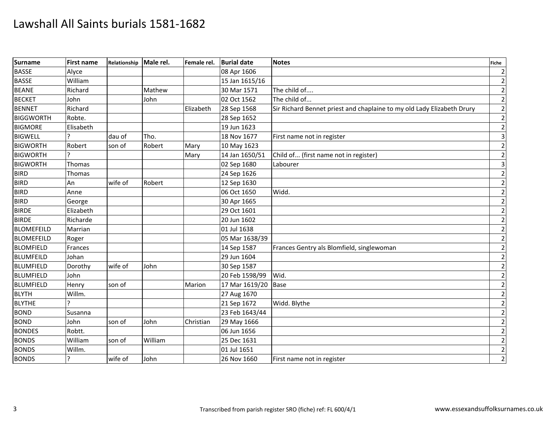| <b>Surname</b>    | <b>First name</b> | Relationship | Male rel. | Female rel. | <b>Burial date</b> | <b>Notes</b>                                                           | <b>Fiche</b>            |
|-------------------|-------------------|--------------|-----------|-------------|--------------------|------------------------------------------------------------------------|-------------------------|
| <b>BASSE</b>      | Alyce             |              |           |             | 08 Apr 1606        |                                                                        | $\overline{2}$          |
| <b>BASSE</b>      | William           |              |           |             | 15 Jan 1615/16     |                                                                        | $\overline{2}$          |
| <b>BEANE</b>      | Richard           |              | Mathew    |             | 30 Mar 1571        | The child of                                                           | $\mathbf 2$             |
| <b>BECKET</b>     | John              |              | John      |             | 02 Oct 1562        | The child of                                                           | $\mathbf 2$             |
| <b>BENNET</b>     | Richard           |              |           | Elizabeth   | 28 Sep 1568        | Sir Richard Bennet priest and chaplaine to my old Lady Elizabeth Drury | $\mathbf{2}$            |
| <b>BIGGWORTH</b>  | Robte.            |              |           |             | 28 Sep 1652        |                                                                        | $\overline{2}$          |
| <b>BIGMORE</b>    | Elisabeth         |              |           |             | 19 Jun 1623        |                                                                        | $\mathbf 2$             |
| <b>BIGWELL</b>    |                   | dau of       | Tho.      |             | 18 Nov 1677        | First name not in register                                             | $\overline{\mathbf{3}}$ |
| <b>BIGWORTH</b>   | Robert            | son of       | Robert    | Mary        | 10 May 1623        |                                                                        | $\overline{2}$          |
| <b>BIGWORTH</b>   |                   |              |           | Mary        | 14 Jan 1650/51     | Child of (first name not in register)                                  | $\overline{2}$          |
| <b>BIGWORTH</b>   | Thomas            |              |           |             | 02 Sep 1680        | Labourer                                                               | $\overline{3}$          |
| <b>BIRD</b>       | Thomas            |              |           |             | 24 Sep 1626        |                                                                        | $\mathbf 2$             |
| <b>BIRD</b>       | An                | wife of      | Robert    |             | 12 Sep 1630        |                                                                        | $\overline{2}$          |
| <b>BIRD</b>       | Anne              |              |           |             | 06 Oct 1650        | Widd.                                                                  | $\overline{2}$          |
| <b>BIRD</b>       | George            |              |           |             | 30 Apr 1665        |                                                                        | $\mathbf 2$             |
| <b>BIRDE</b>      | Elizabeth         |              |           |             | 29 Oct 1601        |                                                                        | $\overline{2}$          |
| <b>BIRDE</b>      | Richarde          |              |           |             | 20 Jun 1602        |                                                                        | $\mathbf{2}$            |
| <b>BLOMEFEILD</b> | Marrian           |              |           |             | 01 Jul 1638        |                                                                        | $\overline{2}$          |
| <b>BLOMEFEILD</b> | Roger             |              |           |             | 05 Mar 1638/39     |                                                                        | $\mathbf 2$             |
| <b>BLOMFIELD</b>  | Frances           |              |           |             | 14 Sep 1587        | Frances Gentry als Blomfield, singlewoman                              | $\overline{2}$          |
| <b>BLUMFEILD</b>  | Johan             |              |           |             | 29 Jun 1604        |                                                                        | $\overline{2}$          |
| <b>BLUMFIELD</b>  | Dorothy           | wife of      | John      |             | 30 Sep 1587        |                                                                        | $\overline{2}$          |
| <b>BLUMFIELD</b>  | John              |              |           |             | 20 Feb 1598/99     | Wid.                                                                   | $\overline{2}$          |
| <b>BLUMFIELD</b>  | Henry             | son of       |           | Marion      | 17 Mar 1619/20     | <b>Base</b>                                                            | $\overline{2}$          |
| <b>BLYTH</b>      | Willm.            |              |           |             | 27 Aug 1670        |                                                                        | $\overline{2}$          |
| <b>BLYTHE</b>     |                   |              |           |             | 21 Sep 1672        | Widd. Blythe                                                           | $\mathbf{2}$            |
| <b>BOND</b>       | Susanna           |              |           |             | 23 Feb 1643/44     |                                                                        | $\mathbf 2$             |
| <b>BOND</b>       | John              | son of       | John      | Christian   | 29 May 1666        |                                                                        | $\mathbf 2$             |
| <b>BONDES</b>     | Robtt.            |              |           |             | 06 Jun 1656        |                                                                        | $\mathbf{2}$            |
| <b>BONDS</b>      | William           | son of       | William   |             | 25 Dec 1631        |                                                                        | $\mathbf{2}$            |
| <b>BONDS</b>      | Willm.            |              |           |             | 01 Jul 1651        |                                                                        | $\overline{2}$          |
| <b>BONDS</b>      | ?                 | wife of      | John      |             | 26 Nov 1660        | First name not in register                                             | $\overline{2}$          |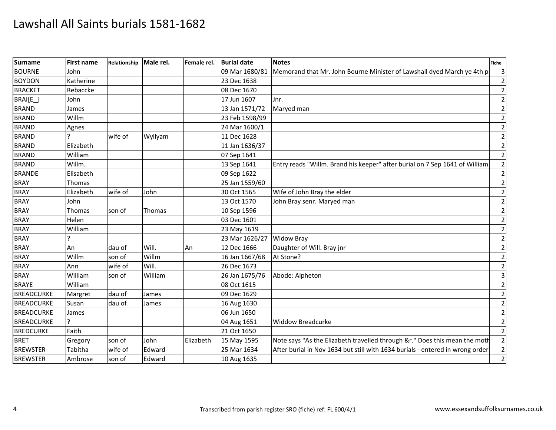| <b>Surname</b>    | <b>First name</b> | Relationship | Male rel. | Female rel. | <b>Burial date</b>        | <b>Notes</b>                                                                  | <b>Fiche</b>             |
|-------------------|-------------------|--------------|-----------|-------------|---------------------------|-------------------------------------------------------------------------------|--------------------------|
| <b>BOURNE</b>     | John              |              |           |             | 09 Mar 1680/81            | Memorand that Mr. John Bourne Minister of Lawshall dyed March ye 4th p        |                          |
| <b>BOYDON</b>     | Katherine         |              |           |             | 23 Dec 1638               |                                                                               |                          |
| <b>BRACKET</b>    | Rebaccke          |              |           |             | 08 Dec 1670               |                                                                               | $\overline{2}$           |
| BRAI[E_]          | John              |              |           |             | 17 Jun 1607               | Jnr.                                                                          |                          |
| <b>BRAND</b>      | James             |              |           |             | 13 Jan 1571/72            | Maryed man                                                                    | $\mathcal{P}$            |
| <b>BRAND</b>      | Willm             |              |           |             | 23 Feb 1598/99            |                                                                               |                          |
| <b>BRAND</b>      | Agnes             |              |           |             | 24 Mar 1600/1             |                                                                               | $\overline{2}$           |
| <b>BRAND</b>      |                   | wife of      | Wyllyam   |             | 11 Dec 1628               |                                                                               | $\mathcal{I}$            |
| <b>BRAND</b>      | Elizabeth         |              |           |             | 11 Jan 1636/37            |                                                                               | $\overline{\phantom{a}}$ |
| <b>BRAND</b>      | William           |              |           |             | 07 Sep 1641               |                                                                               |                          |
| <b>BRAND</b>      | Willm.            |              |           |             | 13 Sep 1641               | Entry reads "Willm. Brand his keeper" after burial on 7 Sep 1641 of William   | $\overline{2}$           |
| <b>BRANDE</b>     | Elisabeth         |              |           |             | 09 Sep 1622               |                                                                               |                          |
| <b>BRAY</b>       | Thomas            |              |           |             | 25 Jan 1559/60            |                                                                               | $\overline{\phantom{a}}$ |
| <b>BRAY</b>       | Elizabeth         | wife of      | John      |             | 30 Oct 1565               | Wife of John Bray the elder                                                   |                          |
| <b>BRAY</b>       | John              |              |           |             | 13 Oct 1570               | John Bray senr. Maryed man                                                    | $\mathcal{P}$            |
| <b>BRAY</b>       | Thomas            | son of       | Thomas    |             | 10 Sep 1596               |                                                                               | $\overline{\phantom{a}}$ |
| <b>BRAY</b>       | Helen             |              |           |             | 03 Dec 1601               |                                                                               | $\mathcal{P}$            |
| <b>BRAY</b>       | William           |              |           |             | 23 May 1619               |                                                                               |                          |
| <b>BRAY</b>       |                   |              |           |             | 23 Mar 1626/27 Widow Bray |                                                                               | $\mathcal{I}$            |
| <b>BRAY</b>       | An                | dau of       | Will.     | An          | 12 Dec 1666               | Daughter of Will. Bray jnr                                                    | $\overline{2}$           |
| <b>BRAY</b>       | Willm             | son of       | Willm     |             | 16 Jan 1667/68            | At Stone?                                                                     | $\overline{\phantom{a}}$ |
| <b>BRAY</b>       | Ann               | wife of      | Will.     |             | 26 Dec 1673               |                                                                               |                          |
| <b>BRAY</b>       | William           | son of       | William   |             | 26 Jan 1675/76            | Abode: Alpheton                                                               | 3                        |
| <b>BRAYE</b>      | William           |              |           |             | 08 Oct 1615               |                                                                               | $\overline{2}$           |
| <b>BREADCURKE</b> | Margret           | dau of       | James     |             | 09 Dec 1629               |                                                                               | $\mathcal{P}$            |
| <b>BREADCURKE</b> | Susan             | dau of       | James     |             | 16 Aug 1630               |                                                                               |                          |
| <b>BREADCURKE</b> | James             |              |           |             | 06 Jun 1650               |                                                                               |                          |
| <b>BREADCURKE</b> |                   |              |           |             | 04 Aug 1651               | <b>Widdow Breadcurke</b>                                                      | $\overline{2}$           |
| <b>BREDCURKE</b>  | Faith             |              |           |             | 21 Oct 1650               |                                                                               | $\overline{\phantom{a}}$ |
| <b>BRET</b>       | Gregory           | son of       | John      | Elizabeth   | 15 May 1595               | Note says "As the Elizabeth travelled through &r." Does this mean the moth    | $\overline{2}$           |
| <b>BREWSTER</b>   | Tabitha           | wife of      | Edward    |             | 25 Mar 1634               | After burial in Nov 1634 but still with 1634 burials - entered in wrong order |                          |
| <b>BREWSTER</b>   | Ambrose           | son of       | Edward    |             | 10 Aug 1635               |                                                                               | $\overline{2}$           |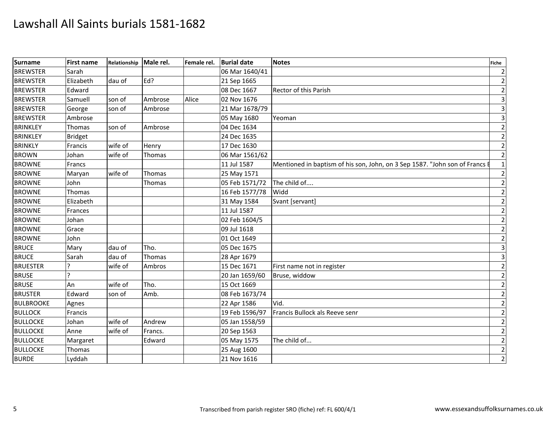| <b>Surname</b>   | First name     | Relationship Male rel. |         | Female rel. | <b>Burial date</b>          | <b>Notes</b>                                                              | <b>Fiche</b> |
|------------------|----------------|------------------------|---------|-------------|-----------------------------|---------------------------------------------------------------------------|--------------|
| <b>BREWSTER</b>  | Sarah          |                        |         |             | 06 Mar 1640/41              |                                                                           |              |
| <b>BREWSTER</b>  | Elizabeth      | dau of                 | Ed?     |             | 21 Sep 1665                 |                                                                           |              |
| <b>BREWSTER</b>  | Edward         |                        |         |             | 08 Dec 1667                 | Rector of this Parish                                                     |              |
| <b>BREWSTER</b>  | Samuell        | son of                 | Ambrose | Alice       | 02 Nov 1676                 |                                                                           |              |
| <b>BREWSTER</b>  | George         | son of                 | Ambrose |             | 21 Mar 1678/79              |                                                                           |              |
| <b>BREWSTER</b>  | Ambrose        |                        |         |             | 05 May 1680                 | Yeoman                                                                    |              |
| <b>BRINKLEY</b>  | Thomas         | son of                 | Ambrose |             | 04 Dec 1634                 |                                                                           |              |
| <b>BRINKLEY</b>  | <b>Bridget</b> |                        |         |             | 24 Dec 1635                 |                                                                           |              |
| <b>BRINKLY</b>   | Francis        | wife of                | Henry   |             | 17 Dec 1630                 |                                                                           |              |
| <b>BROWN</b>     | Johan          | wife of                | Thomas  |             | 06 Mar 1561/62              |                                                                           |              |
| <b>BROWNE</b>    | Francs         |                        |         |             | 11 Jul 1587                 | Mentioned in baptism of his son, John, on 3 Sep 1587. "John son of Francs |              |
| <b>BROWNE</b>    | Maryan         | wife of                | Thomas  |             | 25 May 1571                 |                                                                           |              |
| <b>BROWNE</b>    | John           |                        | Thomas  |             | 05 Feb 1571/72 The child of |                                                                           |              |
| <b>BROWNE</b>    | Thomas         |                        |         |             | 16 Feb 1577/78 Widd         |                                                                           |              |
| <b>BROWNE</b>    | Elizabeth      |                        |         |             | 31 May 1584                 | Svant [servant]                                                           |              |
| <b>BROWNE</b>    | Frances        |                        |         |             | 11 Jul 1587                 |                                                                           |              |
| <b>BROWNE</b>    | Johan          |                        |         |             | 02 Feb 1604/5               |                                                                           |              |
| <b>BROWNE</b>    | Grace          |                        |         |             | 09 Jul 1618                 |                                                                           |              |
| <b>BROWNE</b>    | John           |                        |         |             | 01 Oct 1649                 |                                                                           |              |
| <b>BRUCE</b>     | Mary           | dau of                 | Tho.    |             | 05 Dec 1675                 |                                                                           |              |
| <b>BRUCE</b>     | Sarah          | dau of                 | Thomas  |             | 28 Apr 1679                 |                                                                           |              |
| <b>BRUESTER</b>  | I۰             | wife of                | Ambros  |             | 15 Dec 1671                 | First name not in register                                                |              |
| <b>BRUSE</b>     |                |                        |         |             | 20 Jan 1659/60              | Bruse, widdow                                                             |              |
| <b>BRUSE</b>     | An             | wife of                | Tho.    |             | 15 Oct 1669                 |                                                                           |              |
| <b>BRUSTER</b>   | Edward         | son of                 | Amb.    |             | 08 Feb 1673/74              |                                                                           |              |
| <b>BULBROOKE</b> | Agnes          |                        |         |             | 22 Apr 1586                 | Vid.                                                                      |              |
| <b>BULLOCK</b>   | Francis        |                        |         |             | 19 Feb 1596/97              | Francis Bullock als Reeve senr                                            |              |
| <b>BULLOCKE</b>  | Johan          | wife of                | Andrew  |             | 05 Jan 1558/59              |                                                                           |              |
| <b>BULLOCKE</b>  | Anne           | wife of                | Francs. |             | 20 Sep 1563                 |                                                                           |              |
| <b>BULLOCKE</b>  | Margaret       |                        | Edward  |             | 05 May 1575                 | The child of                                                              |              |
| <b>BULLOCKE</b>  | Thomas         |                        |         |             | 25 Aug 1600                 |                                                                           |              |
| <b>BURDE</b>     | Lyddah         |                        |         |             | 21 Nov 1616                 |                                                                           |              |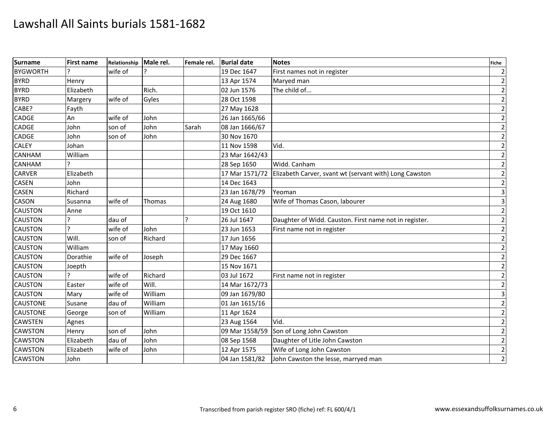| <b>Surname</b>  | First name     | Relationship | Male rel. | Female rel. | <b>Burial date</b> | <b>Notes</b>                                           | Fiche                   |
|-----------------|----------------|--------------|-----------|-------------|--------------------|--------------------------------------------------------|-------------------------|
| <b>BYGWORTH</b> |                | wife of      |           |             | 19 Dec 1647        | First names not in register                            | $\overline{2}$          |
| <b>BYRD</b>     | Henry          |              |           |             | 13 Apr 1574        | Maryed man                                             | $\overline{2}$          |
| <b>BYRD</b>     | Elizabeth      |              | Rich.     |             | 02 Jun 1576        | The child of                                           | $\mathbf 2$             |
| <b>BYRD</b>     | Margery        | wife of      | Gyles     |             | 28 Oct 1598        |                                                        | $\overline{2}$          |
| CABE?           | Fayth          |              |           |             | 27 May 1628        |                                                        | $\overline{2}$          |
| <b>CADGE</b>    | An             | wife of      | John      |             | 26 Jan 1665/66     |                                                        | $\mathbf 2$             |
| <b>CADGE</b>    | John           | son of       | John      | Sarah       | 08 Jan 1666/67     |                                                        | $\mathbf 2$             |
| <b>CADGE</b>    | John           | son of       | John      |             | 30 Nov 1670        |                                                        | $\mathbf 2$             |
| <b>CALEY</b>    | Johan          |              |           |             | 11 Nov 1598        | Vid.                                                   | $\overline{2}$          |
| <b>CANHAM</b>   | William        |              |           |             | 23 Mar 1642/43     |                                                        | $\overline{2}$          |
| <b>CANHAM</b>   |                |              |           |             | 28 Sep 1650        | Widd. Canham                                           | $\mathbf 2$             |
| <b>CARVER</b>   | Elizabeth      |              |           |             | 17 Mar 1571/72     | Elizabeth Carver, svant wt (servant with) Long Cawston | $\mathbf 2$             |
| <b>CASEN</b>    | John           |              |           |             | 14 Dec 1643        |                                                        | $\mathbf 2$             |
| <b>CASEN</b>    | Richard        |              |           |             | 23 Jan 1678/79     | Yeoman                                                 | $\overline{\mathbf{3}}$ |
| <b>CASON</b>    | Susanna        | wife of      | Thomas    |             | 24 Aug 1680        | Wife of Thomas Cason, labourer                         | $\overline{\mathbf{3}}$ |
| <b>CAUSTON</b>  | Anne           |              |           |             | 19 Oct 1610        |                                                        | $\overline{2}$          |
| <b>CAUSTON</b>  | ς              | dau of       |           | ς           | 26 Jul 1647        | Daughter of Widd. Causton. First name not in register. | $\overline{2}$          |
| <b>CAUSTON</b>  | $\overline{ }$ | wife of      | John      |             | 23 Jun 1653        | First name not in register                             | $\overline{2}$          |
| <b>CAUSTON</b>  | Will.          | son of       | Richard   |             | 17 Jun 1656        |                                                        | $\mathbf 2$             |
| <b>CAUSTON</b>  | William        |              |           |             | 17 May 1660        |                                                        | $\overline{2}$          |
| <b>CAUSTON</b>  | Dorathie       | wife of      | Joseph    |             | 29 Dec 1667        |                                                        | $\overline{2}$          |
| <b>CAUSTON</b>  | Joepth         |              |           |             | 15 Nov 1671        |                                                        | $\mathbf 2$             |
| <b>CAUSTON</b>  |                | wife of      | Richard   |             | 03 Jul 1672        | First name not in register                             | $\overline{2}$          |
| <b>CAUSTON</b>  | Easter         | wife of      | Will.     |             | 14 Mar 1672/73     |                                                        | $\mathbf 2$             |
| <b>CAUSTON</b>  | Mary           | wife of      | William   |             | 09 Jan 1679/80     |                                                        | $\overline{3}$          |
| <b>CAUSTONE</b> | Susane         | dau of       | William   |             | 01 Jan 1615/16     |                                                        | $\overline{2}$          |
| <b>CAUSTONE</b> | George         | son of       | William   |             | 11 Apr 1624        |                                                        | $\overline{2}$          |
| <b>CAWSTEN</b>  | Agnes          |              |           |             | 23 Aug 1564        | Vid.                                                   | $\mathbf 2$             |
| <b>CAWSTON</b>  | Henry          | son of       | John      |             | 09 Mar 1558/59     | Son of Long John Cawston                               | $\mathbf 2$             |
| <b>CAWSTON</b>  | Elizabeth      | dau of       | John      |             | 08 Sep 1568        | Daughter of Litle John Cawston                         | $\mathbf 2$             |
| <b>CAWSTON</b>  | Elizabeth      | wife of      | John      |             | 12 Apr 1575        | Wife of Long John Cawston                              | $\overline{2}$          |
| <b>CAWSTON</b>  | John           |              |           |             | 04 Jan 1581/82     | John Cawston the lesse, marryed man                    | $\overline{2}$          |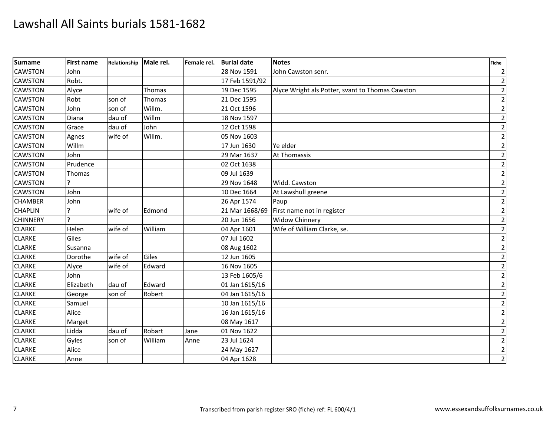| <b>Surname</b>  | <b>First name</b> | Relationship | Male rel.     | Female rel. | <b>Burial date</b> | <b>Notes</b>                                     | <b>Fiche</b>   |
|-----------------|-------------------|--------------|---------------|-------------|--------------------|--------------------------------------------------|----------------|
| <b>CAWSTON</b>  | John              |              |               |             | 28 Nov 1591        | John Cawston senr.                               | $\overline{2}$ |
| <b>CAWSTON</b>  | Robt.             |              |               |             | 17 Feb 1591/92     |                                                  | $\overline{2}$ |
| <b>CAWSTON</b>  | Alyce             |              | <b>Thomas</b> |             | 19 Dec 1595        | Alyce Wright als Potter, svant to Thomas Cawston | $\overline{2}$ |
| <b>CAWSTON</b>  | Robt              | son of       | Thomas        |             | 21 Dec 1595        |                                                  | $\mathbf 2$    |
| <b>CAWSTON</b>  | John              | son of       | Willm.        |             | 21 Oct 1596        |                                                  | $\overline{2}$ |
| <b>CAWSTON</b>  | Diana             | dau of       | Willm         |             | 18 Nov 1597        |                                                  | $\overline{2}$ |
| <b>CAWSTON</b>  | Grace             | dau of       | John          |             | 12 Oct 1598        |                                                  | $\mathbf 2$    |
| <b>CAWSTON</b>  | Agnes             | wife of      | Willm.        |             | 05 Nov 1603        |                                                  | $\mathbf 2$    |
| <b>CAWSTON</b>  | Willm             |              |               |             | 17 Jun 1630        | Ye elder                                         | $\overline{2}$ |
| <b>CAWSTON</b>  | John              |              |               |             | 29 Mar 1637        | <b>At Thomassis</b>                              | $\overline{2}$ |
| <b>CAWSTON</b>  | Prudence          |              |               |             | 02 Oct 1638        |                                                  | $\mathbf 2$    |
| <b>CAWSTON</b>  | Thomas            |              |               |             | 09 Jul 1639        |                                                  | $\mathbf 2$    |
| <b>CAWSTON</b>  |                   |              |               |             | 29 Nov 1648        | Widd. Cawston                                    | $\overline{2}$ |
| <b>CAWSTON</b>  | John              |              |               |             | 10 Dec 1664        | At Lawshull greene                               | $\mathbf 2$    |
| <b>CHAMBER</b>  | John              |              |               |             | 26 Apr 1574        | Paup                                             | $\mathbf 2$    |
| <b>CHAPLIN</b>  |                   | wife of      | Edmond        |             | 21 Mar 1668/69     | First name not in register                       | $\mathbf 2$    |
| <b>CHINNERY</b> | $\overline{ }$    |              |               |             | 20 Jun 1656        | <b>Widow Chinnery</b>                            | $\overline{2}$ |
| <b>CLARKE</b>   | Helen             | wife of      | William       |             | 04 Apr 1601        | Wife of William Clarke, se.                      | $\mathbf 2$    |
| <b>CLARKE</b>   | Giles             |              |               |             | 07 Jul 1602        |                                                  | $\mathbf 2$    |
| <b>CLARKE</b>   | Susanna           |              |               |             | 08 Aug 1602        |                                                  | $\mathbf 2$    |
| <b>CLARKE</b>   | Dorothe           | wife of      | Giles         |             | 12 Jun 1605        |                                                  | $\overline{2}$ |
| <b>CLARKE</b>   | Alyce             | wife of      | Edward        |             | 16 Nov 1605        |                                                  | $\overline{2}$ |
| <b>CLARKE</b>   | John              |              |               |             | 13 Feb 1605/6      |                                                  | $\mathbf 2$    |
| <b>CLARKE</b>   | Elizabeth         | dau of       | Edward        |             | 01 Jan 1615/16     |                                                  | $\overline{2}$ |
| <b>CLARKE</b>   | George            | son of       | Robert        |             | 04 Jan 1615/16     |                                                  | $\mathbf 2$    |
| <b>CLARKE</b>   | Samuel            |              |               |             | 10 Jan 1615/16     |                                                  | $\overline{2}$ |
| <b>CLARKE</b>   | Alice             |              |               |             | 16 Jan 1615/16     |                                                  | $\overline{2}$ |
| <b>CLARKE</b>   | Marget            |              |               |             | 08 May 1617        |                                                  | $\mathbf 2$    |
| <b>CLARKE</b>   | Lidda             | dau of       | Robart        | Jane        | 01 Nov 1622        |                                                  | $\overline{2}$ |
| <b>CLARKE</b>   | Gyles             | son of       | William       | Anne        | 23 Jul 1624        |                                                  | $\overline{2}$ |
| <b>CLARKE</b>   | Alice             |              |               |             | 24 May 1627        |                                                  | $\mathbf 2$    |
| <b>CLARKE</b>   | Anne              |              |               |             | 04 Apr 1628        |                                                  | $\overline{2}$ |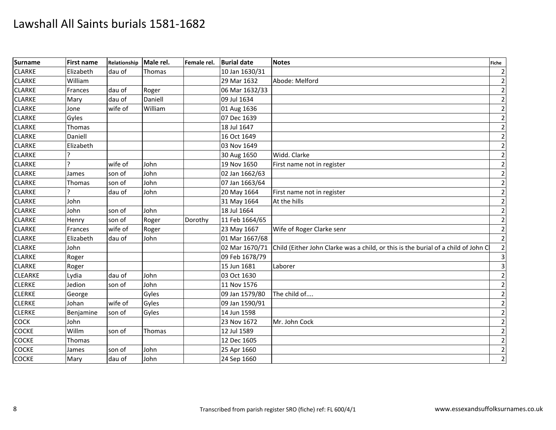| <b>Surname</b> | <b>First name</b> | Relationship | Male rel.     | Female rel. | <b>Burial date</b> | <b>Notes</b>                                                                      | <b>Fiche</b>   |
|----------------|-------------------|--------------|---------------|-------------|--------------------|-----------------------------------------------------------------------------------|----------------|
| <b>CLARKE</b>  | Elizabeth         | dau of       | <b>Thomas</b> |             | 10 Jan 1630/31     |                                                                                   | $\overline{2}$ |
| <b>CLARKE</b>  | William           |              |               |             | 29 Mar 1632        | Abode: Melford                                                                    | $\overline{2}$ |
| <b>CLARKE</b>  | Frances           | dau of       | Roger         |             | 06 Mar 1632/33     |                                                                                   | $\overline{2}$ |
| <b>CLARKE</b>  | Mary              | dau of       | Daniell       |             | 09 Jul 1634        |                                                                                   | $\mathbf 2$    |
| <b>CLARKE</b>  | Jone              | wife of      | William       |             | 01 Aug 1636        |                                                                                   | $\mathbf{2}$   |
| <b>CLARKE</b>  | Gyles             |              |               |             | 07 Dec 1639        |                                                                                   | $\overline{2}$ |
| <b>CLARKE</b>  | Thomas            |              |               |             | 18 Jul 1647        |                                                                                   | $\mathbf 2$    |
| <b>CLARKE</b>  | Daniell           |              |               |             | 16 Oct 1649        |                                                                                   | $\mathbf 2$    |
| <b>CLARKE</b>  | Elizabeth         |              |               |             | 03 Nov 1649        |                                                                                   | $\mathbf{2}$   |
| <b>CLARKE</b>  |                   |              |               |             | 30 Aug 1650        | Widd. Clarke                                                                      | $\overline{2}$ |
| <b>CLARKE</b>  | ς                 | wife of      | John          |             | 19 Nov 1650        | First name not in register                                                        | $\mathbf 2$    |
| <b>CLARKE</b>  | James             | son of       | John          |             | 02 Jan 1662/63     |                                                                                   | $\overline{2}$ |
| <b>CLARKE</b>  | Thomas            | son of       | John          |             | 07 Jan 1663/64     |                                                                                   | $\overline{2}$ |
| <b>CLARKE</b>  |                   | dau of       | John          |             | 20 May 1664        | First name not in register                                                        | $\mathbf{2}$   |
| <b>CLARKE</b>  | John              |              |               |             | 31 May 1664        | At the hills                                                                      | $\overline{2}$ |
| <b>CLARKE</b>  | John              | son of       | John          |             | 18 Jul 1664        |                                                                                   | $\mathbf 2$    |
| <b>CLARKE</b>  | Henry             | son of       | Roger         | Dorothy     | 11 Feb 1664/65     |                                                                                   | $\overline{2}$ |
| <b>CLARKE</b>  | Frances           | wife of      | Roger         |             | 23 May 1667        | Wife of Roger Clarke senr                                                         | $\mathbf{2}$   |
| <b>CLARKE</b>  | Elizabeth         | dau of       | John          |             | 01 Mar 1667/68     |                                                                                   | $\overline{2}$ |
| <b>CLARKE</b>  | John              |              |               |             | 02 Mar 1670/71     | Child (Either John Clarke was a child, or this is the burial of a child of John C | $\overline{2}$ |
| <b>CLARKE</b>  | Roger             |              |               |             | 09 Feb 1678/79     |                                                                                   | $\overline{3}$ |
| <b>CLARKE</b>  | Roger             |              |               |             | 15 Jun 1681        | Laborer                                                                           | $\overline{3}$ |
| <b>CLEARKE</b> | Lydia             | dau of       | John          |             | 03 Oct 1630        |                                                                                   | $\overline{2}$ |
| <b>CLERKE</b>  | Jedion            | son of       | John          |             | 11 Nov 1576        |                                                                                   | $\mathbf{2}$   |
| <b>CLERKE</b>  | George            |              | Gyles         |             | 09 Jan 1579/80     | The child of                                                                      | $\overline{2}$ |
| <b>CLERKE</b>  | Johan             | wife of      | Gyles         |             | 09 Jan 1590/91     |                                                                                   | $\overline{2}$ |
| <b>CLERKE</b>  | Benjamine         | son of       | Gyles         |             | 14 Jun 1598        |                                                                                   | $\overline{2}$ |
| <b>COCK</b>    | John              |              |               |             | 23 Nov 1672        | Mr. John Cock                                                                     | $\mathbf 2$    |
| <b>COCKE</b>   | Willm             | son of       | Thomas        |             | 12 Jul 1589        |                                                                                   | $\mathbf 2$    |
| <b>COCKE</b>   | Thomas            |              |               |             | 12 Dec 1605        |                                                                                   | $\overline{2}$ |
| <b>COCKE</b>   | James             | son of       | John          |             | 25 Apr 1660        |                                                                                   | $\overline{2}$ |
| <b>COCKE</b>   | Mary              | dau of       | John          |             | 24 Sep 1660        |                                                                                   | $\overline{2}$ |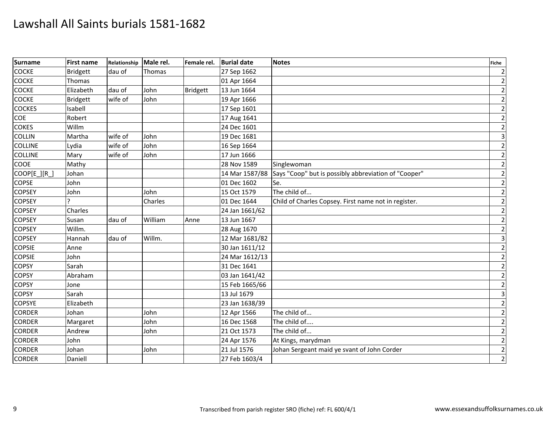| <b>Surname</b> | <b>First name</b> | Relationship | Male rel.     | Female rel.     | <b>Burial date</b> | <b>Notes</b>                                         | <b>Fiche</b>   |
|----------------|-------------------|--------------|---------------|-----------------|--------------------|------------------------------------------------------|----------------|
| COCKE          | <b>Bridgett</b>   | dau of       | <b>Thomas</b> |                 | 27 Sep 1662        |                                                      | $\overline{2}$ |
| <b>COCKE</b>   | Thomas            |              |               |                 | 01 Apr 1664        |                                                      | $\mathbf 2$    |
| <b>COCKE</b>   | Elizabeth         | dau of       | John          | <b>Bridgett</b> | 13 Jun 1664        |                                                      | $\mathbf 2$    |
| <b>COCKE</b>   | <b>Bridgett</b>   | wife of      | John          |                 | 19 Apr 1666        |                                                      | $\overline{2}$ |
| <b>COCKES</b>  | Isabell           |              |               |                 | 17 Sep 1601        |                                                      | $\mathbf{2}$   |
| <b>COE</b>     | Robert            |              |               |                 | 17 Aug 1641        |                                                      | $\overline{2}$ |
| <b>COKES</b>   | Willm             |              |               |                 | 24 Dec 1601        |                                                      | $\overline{2}$ |
| <b>COLLIN</b>  | Martha            | wife of      | John          |                 | 19 Dec 1681        |                                                      | $\overline{3}$ |
| <b>COLLINE</b> | Lydia             | wife of      | John          |                 | 16 Sep 1664        |                                                      | $\mathbf{2}$   |
| <b>COLLINE</b> | Mary              | wife of      | John          |                 | 17 Jun 1666        |                                                      | $\overline{2}$ |
| <b>COOE</b>    | Mathy             |              |               |                 | 28 Nov 1589        | Singlewoman                                          | $\overline{2}$ |
| COOP[E_][R_]   | Johan             |              |               |                 | 14 Mar 1587/88     | Says "Coop" but is possibly abbreviation of "Cooper" | $\overline{2}$ |
| <b>COPSE</b>   | John              |              |               |                 | 01 Dec 1602        | Se.                                                  | $\overline{2}$ |
| <b>COPSEY</b>  | John              |              | John          |                 | 15 Oct 1579        | The child of                                         | $\overline{2}$ |
| <b>COPSEY</b>  |                   |              | Charles       |                 | 01 Dec 1644        | Child of Charles Copsey. First name not in register. | $\overline{2}$ |
| <b>COPSEY</b>  | Charles           |              |               |                 | 24 Jan 1661/62     |                                                      | $\overline{2}$ |
| <b>COPSEY</b>  | Susan             | dau of       | William       | Anne            | 13 Jun 1667        |                                                      | $\overline{2}$ |
| <b>COPSEY</b>  | Willm.            |              |               |                 | 28 Aug 1670        |                                                      | $\overline{2}$ |
| <b>COPSEY</b>  | Hannah            | dau of       | Willm.        |                 | 12 Mar 1681/82     |                                                      | $\overline{3}$ |
| <b>COPSIE</b>  | Anne              |              |               |                 | 30 Jan 1611/12     |                                                      | $\overline{2}$ |
| <b>COPSIE</b>  | John              |              |               |                 | 24 Mar 1612/13     |                                                      | $\mathbf{2}$   |
| <b>COPSY</b>   | Sarah             |              |               |                 | 31 Dec 1641        |                                                      | $\overline{2}$ |
| <b>COPSY</b>   | Abraham           |              |               |                 | 03 Jan 1641/42     |                                                      | $\mathbf 2$    |
| <b>COPSY</b>   | Jone              |              |               |                 | 15 Feb 1665/66     |                                                      | $\overline{2}$ |
| <b>COPSY</b>   | Sarah             |              |               |                 | 13 Jul 1679        |                                                      | $\overline{3}$ |
| <b>COPSYE</b>  | Elizabeth         |              |               |                 | 23 Jan 1638/39     |                                                      | $\mathbf{2}$   |
| <b>CORDER</b>  | Johan             |              | John          |                 | 12 Apr 1566        | The child of                                         | $\mathbf 2$    |
| <b>CORDER</b>  | Margaret          |              | John          |                 | 16 Dec 1568        | The child of                                         | $\mathbf 2$    |
| <b>CORDER</b>  | Andrew            |              | John          |                 | 21 Oct 1573        | The child of                                         | $\mathbf{2}$   |
| <b>CORDER</b>  | John              |              |               |                 | 24 Apr 1576        | At Kings, marydman                                   | $\mathbf{2}$   |
| <b>CORDER</b>  | Johan             |              | John          |                 | 21 Jul 1576        | Johan Sergeant maid ye svant of John Corder          | $\overline{2}$ |
| <b>CORDER</b>  | Daniell           |              |               |                 | 27 Feb 1603/4      |                                                      | $\overline{2}$ |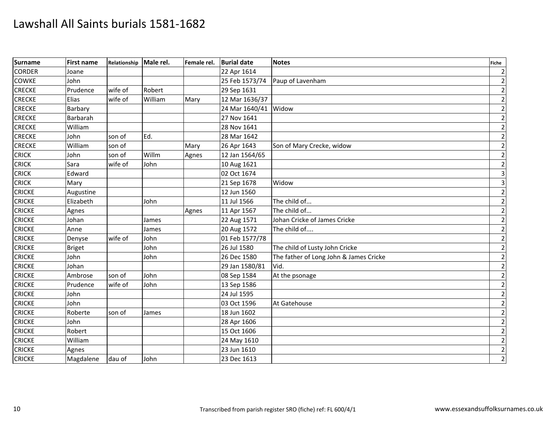| <b>Surname</b> | <b>First name</b> | Relationship | Male rel. | Female rel. | <b>Burial date</b> | <b>Notes</b>                           | <b>Fiche</b>            |
|----------------|-------------------|--------------|-----------|-------------|--------------------|----------------------------------------|-------------------------|
| <b>CORDER</b>  | Joane             |              |           |             | 22 Apr 1614        |                                        | $\overline{2}$          |
| <b>COWKE</b>   | John              |              |           |             | 25 Feb 1573/74     | Paup of Lavenham                       | $\mathbf 2$             |
| <b>CRECKE</b>  | Prudence          | wife of      | Robert    |             | 29 Sep 1631        |                                        | $\mathbf 2$             |
| <b>CRECKE</b>  | Elias             | wife of      | William   | Mary        | 12 Mar 1636/37     |                                        | $\overline{2}$          |
| <b>CRECKE</b>  | Barbary           |              |           |             | 24 Mar 1640/41     | Widow                                  | $\overline{2}$          |
| <b>CRECKE</b>  | Barbarah          |              |           |             | 27 Nov 1641        |                                        | $\overline{2}$          |
| <b>CRECKE</b>  | William           |              |           |             | 28 Nov 1641        |                                        | $\mathbf 2$             |
| <b>CRECKE</b>  | John              | son of       | Ed.       |             | 28 Mar 1642        |                                        | $\mathbf 2$             |
| <b>CRECKE</b>  | William           | son of       |           | Mary        | 26 Apr 1643        | Son of Mary Crecke, widow              | $\overline{2}$          |
| <b>CRICK</b>   | John              | son of       | Willm     | Agnes       | 12 Jan 1564/65     |                                        | $\overline{2}$          |
| <b>CRICK</b>   | Sara              | wife of      | John      |             | 10 Aug 1621        |                                        | $\mathbf 2$             |
| <b>CRICK</b>   | Edward            |              |           |             | 02 Oct 1674        |                                        | $\overline{\mathbf{3}}$ |
| <b>CRICK</b>   | Mary              |              |           |             | 21 Sep 1678        | Widow                                  | $\overline{\mathbf{3}}$ |
| <b>CRICKE</b>  | Augustine         |              |           |             | 12 Jun 1560        |                                        | $\mathbf 2$             |
| <b>CRICKE</b>  | Elizabeth         |              | John      |             | 11 Jul 1566        | The child of                           | $\mathbf 2$             |
| <b>CRICKE</b>  | Agnes             |              |           | Agnes       | 11 Apr 1567        | The child of                           | $\overline{2}$          |
| <b>CRICKE</b>  | Johan             |              | James     |             | 22 Aug 1571        | Johan Cricke of James Cricke           | $\mathbf 2$             |
| <b>CRICKE</b>  | Anne              |              | James     |             | 20 Aug 1572        | The child of                           | $\mathbf{2}$            |
| <b>CRICKE</b>  | Denyse            | wife of      | John      |             | 01 Feb 1577/78     |                                        | $\mathbf 2$             |
| <b>CRICKE</b>  | <b>Briget</b>     |              | John      |             | 26 Jul 1580        | The child of Lusty John Cricke         | $\mathbf 2$             |
| <b>CRICKE</b>  | John              |              | John      |             | 26 Dec 1580        | The father of Long John & James Cricke | $\overline{2}$          |
| <b>CRICKE</b>  | Johan             |              |           |             | 29 Jan 1580/81     | Vid.                                   | $\overline{2}$          |
| <b>CRICKE</b>  | Ambrose           | son of       | John      |             | 08 Sep 1584        | At the psonage                         | $\mathbf 2$             |
| <b>CRICKE</b>  | Prudence          | wife of      | John      |             | 13 Sep 1586        |                                        | $\mathbf 2$             |
| <b>CRICKE</b>  | John              |              |           |             | 24 Jul 1595        |                                        | $\mathbf 2$             |
| <b>CRICKE</b>  | John              |              |           |             | 03 Oct 1596        | At Gatehouse                           | $\mathbf{2}$            |
| <b>CRICKE</b>  | Roberte           | son of       | James     |             | 18 Jun 1602        |                                        | $\mathbf 2$             |
| <b>CRICKE</b>  | John              |              |           |             | 28 Apr 1606        |                                        | $\mathbf 2$             |
| <b>CRICKE</b>  | Robert            |              |           |             | 15 Oct 1606        |                                        | $\mathbf{2}$            |
| <b>CRICKE</b>  | William           |              |           |             | 24 May 1610        |                                        | $\mathbf{2}$            |
| <b>CRICKE</b>  | Agnes             |              |           |             | 23 Jun 1610        |                                        | $\overline{2}$          |
| <b>CRICKE</b>  | Magdalene         | dau of       | John      |             | 23 Dec 1613        |                                        | $\overline{2}$          |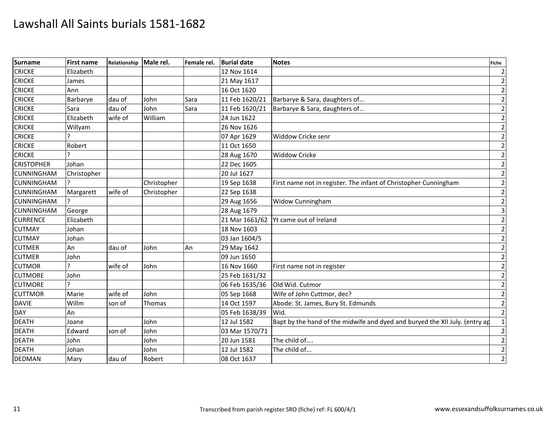| <b>Surname</b>    | <b>First name</b> | Relationship Male rel. |             | Female rel. | <b>Burial date</b> | <b>Notes</b>                                                                | <b>Fiche</b> |
|-------------------|-------------------|------------------------|-------------|-------------|--------------------|-----------------------------------------------------------------------------|--------------|
| <b>CRICKE</b>     | Elizabeth         |                        |             |             | 12 Nov 1614        |                                                                             |              |
| <b>CRICKE</b>     | James             |                        |             |             | 21 May 1617        |                                                                             |              |
| <b>CRICKE</b>     | Ann               |                        |             |             | 16 Oct 1620        |                                                                             |              |
| <b>CRICKE</b>     | Barbarye          | dau of                 | John        | Sara        | 11 Feb 1620/21     | Barbarye & Sara, daughters of                                               |              |
| <b>CRICKE</b>     | Sara              | dau of                 | John        | Sara        | 11 Feb 1620/21     | Barbarye & Sara, daughters of                                               |              |
| CRICKE            | Elizabeth         | wife of                | William     |             | 24 Jun 1622        |                                                                             |              |
| <b>CRICKE</b>     | Willyam           |                        |             |             | 26 Nov 1626        |                                                                             |              |
| <b>CRICKE</b>     |                   |                        |             |             | 07 Apr 1629        | Widdow Cricke senr                                                          |              |
| <b>CRICKE</b>     | Robert            |                        |             |             | 11 Oct 1650        |                                                                             |              |
| <b>CRICKE</b>     |                   |                        |             |             | 28 Aug 1670        | <b>Widdow Cricke</b>                                                        |              |
| <b>CRISTOPHER</b> | Johan             |                        |             |             | 22 Dec 1605        |                                                                             |              |
| <b>CUNNINGHAM</b> | Christopher       |                        |             |             | 20 Jul 1627        |                                                                             |              |
| <b>CUNNINGHAM</b> |                   |                        | Christopher |             | 19 Sep 1638        | First name not in register. The infant of Christopher Cunningham            |              |
| <b>CUNNINGHAM</b> | Margarett         | wife of                | Christopher |             | 22 Sep 1638        |                                                                             |              |
| <b>CUNNINGHAM</b> |                   |                        |             |             | 29 Aug 1656        | <b>Widow Cunningham</b>                                                     |              |
| <b>CUNNINGHAM</b> | George            |                        |             |             | 28 Aug 1679        |                                                                             |              |
| <b>CURRENCE</b>   | Elizabeth         |                        |             |             | 21 Mar 1661/62     | Yt came out of Ireland                                                      |              |
| <b>CUTMAY</b>     | Johan             |                        |             |             | 18 Nov 1603        |                                                                             |              |
| <b>CUTMAY</b>     | Johan             |                        |             |             | 03 Jan 1604/5      |                                                                             |              |
| <b>CUTMER</b>     | An                | dau of                 | John        | An          | 29 May 1642        |                                                                             |              |
| <b>CUTMER</b>     | John              |                        |             |             | 09 Jun 1650        |                                                                             |              |
| <b>CUTMOR</b>     |                   | wife of                | John        |             | 16 Nov 1660        | First name not in register                                                  |              |
| <b>CUTMORE</b>    | John              |                        |             |             | 25 Feb 1631/32     |                                                                             |              |
| <b>CUTMORE</b>    |                   |                        |             |             | 06 Feb 1635/36     | Old Wid. Cutmor                                                             |              |
| <b>CUTTMOR</b>    | Marie             | wife of                | John        |             | 05 Sep 1668        | Wife of John Cuttmor, dec?                                                  |              |
| <b>DAVIE</b>      | Willm             | son of                 | Thomas      |             | 14 Oct 1597        | Abode: St. James, Bury St. Edmunds                                          |              |
| <b>DAY</b>        | An                |                        |             |             | 05 Feb 1638/39     | Wid.                                                                        |              |
| <b>DEATH</b>      | Joane             |                        | John        |             | 12 Jul 1582        | Bapt by the hand of the midwife and dyed and buryed the XII July. (entry ap |              |
| DEATH             | Edward            | son of                 | John        |             | 03 Mar 1570/71     |                                                                             |              |
| <b>DEATH</b>      | John              |                        | John        |             | 20 Jun 1581        | The child of                                                                |              |
| <b>DEATH</b>      | Johan             |                        | John        |             | 12 Jul 1582        | The child of                                                                |              |
| <b>DEDMAN</b>     | Mary              | dau of                 | Robert      |             | 08 Oct 1637        |                                                                             |              |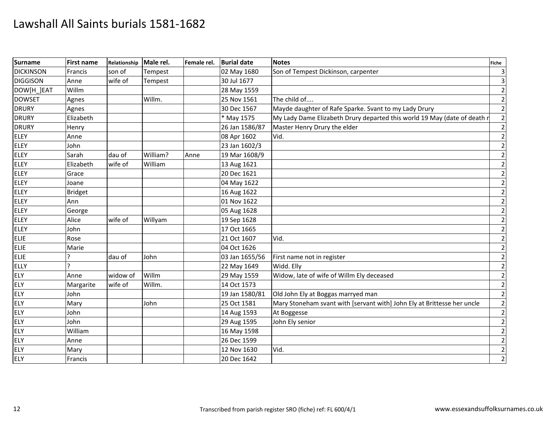| <b>Surname</b>   | <b>First name</b> | Relationship Male rel. |          | Female rel. | <b>Burial date</b> | <b>Notes</b>                                                             | Fiche          |
|------------------|-------------------|------------------------|----------|-------------|--------------------|--------------------------------------------------------------------------|----------------|
| <b>DICKINSON</b> | Francis           | son of                 | Tempest  |             | 02 May 1680        | Son of Tempest Dickinson, carpenter                                      |                |
| <b>DIGGISON</b>  | Anne              | wife of                | Tempest  |             | 30 Jul 1677        |                                                                          |                |
| DOW[H ]EAT       | Willm             |                        |          |             | 28 May 1559        |                                                                          |                |
| <b>DOWSET</b>    | Agnes             |                        | Willm.   |             | 25 Nov 1561        | The child of                                                             |                |
| <b>DRURY</b>     | Agnes             |                        |          |             | 30 Dec 1567        | Mayde daughter of Rafe Sparke. Svant to my Lady Drury                    |                |
| <b>DRURY</b>     | Elizabeth         |                        |          |             | * May 1575         | My Lady Dame Elizabeth Drury departed this world 19 May (date of death r |                |
| <b>DRURY</b>     | Henry             |                        |          |             | 26 Jan 1586/87     | Master Henry Drury the elder                                             |                |
| <b>ELEY</b>      | Anne              |                        |          |             | 08 Apr 1602        | Vid.                                                                     |                |
| <b>ELEY</b>      | John              |                        |          |             | 23 Jan 1602/3      |                                                                          |                |
| ELEY             | Sarah             | dau of                 | William? | Anne        | 19 Mar 1608/9      |                                                                          |                |
| <b>ELEY</b>      | Elizabeth         | wife of                | William  |             | 13 Aug 1621        |                                                                          |                |
| <b>ELEY</b>      | Grace             |                        |          |             | 20 Dec 1621        |                                                                          |                |
| <b>ELEY</b>      | Joane             |                        |          |             | 04 May 1622        |                                                                          |                |
| ELEY             | <b>Bridget</b>    |                        |          |             | 16 Aug 1622        |                                                                          |                |
| <b>ELEY</b>      | Ann               |                        |          |             | 01 Nov 1622        |                                                                          |                |
| <b>ELEY</b>      | George            |                        |          |             | 05 Aug 1628        |                                                                          |                |
| <b>ELEY</b>      | Alice             | wife of                | Willyam  |             | 19 Sep 1628        |                                                                          |                |
| ELEY             | John              |                        |          |             | 17 Oct 1665        |                                                                          |                |
| <b>ELIE</b>      | Rose              |                        |          |             | 21 Oct 1607        | Vid.                                                                     |                |
| <b>ELIE</b>      | Marie             |                        |          |             | 04 Oct 1626        |                                                                          |                |
| ELIE             |                   | dau of                 | John     |             | 03 Jan 1655/56     | First name not in register                                               |                |
| <b>ELLY</b>      |                   |                        |          |             | 22 May 1649        | Widd. Elly                                                               |                |
| <b>ELY</b>       | Anne              | widow of               | Willm    |             | 29 May 1559        | Widow, late of wife of Willm Ely deceased                                |                |
| ELY              | Margarite         | wife of                | Willm.   |             | 14 Oct 1573        |                                                                          |                |
| <b>ELY</b>       | John              |                        |          |             | 19 Jan 1580/81     | Old John Ely at Boggas marryed man                                       | $\overline{2}$ |
| <b>ELY</b>       | Mary              |                        | John     |             | 25 Oct 1581        | Mary Stoneham svant with [servant with] John Ely at Brittesse her uncle  |                |
| <b>ELY</b>       | John              |                        |          |             | 14 Aug 1593        | At Boggesse                                                              |                |
| <b>ELY</b>       | John              |                        |          |             | 29 Aug 1595        | John Ely senior                                                          |                |
| <b>ELY</b>       | William           |                        |          |             | 16 May 1598        |                                                                          | $\overline{2}$ |
| <b>ELY</b>       | Anne              |                        |          |             | 26 Dec 1599        |                                                                          |                |
| <b>ELY</b>       | Mary              |                        |          |             | 12 Nov 1630        | Vid.                                                                     | $\overline{2}$ |
| ELY              | Francis           |                        |          |             | 20 Dec 1642        |                                                                          | $\overline{2}$ |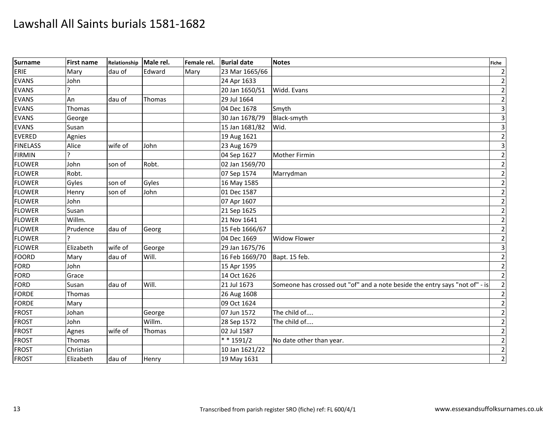| <b>Surname</b>  | <b>First name</b> | Relationship Male rel. |        | Female rel. | <b>Burial date</b>     | <b>Notes</b>                                                                | <b>Fiche</b>   |
|-----------------|-------------------|------------------------|--------|-------------|------------------------|-----------------------------------------------------------------------------|----------------|
| ERIE            | Mary              | dau of                 | Edward | Mary        | 23 Mar 1665/66         |                                                                             |                |
| <b>EVANS</b>    | John              |                        |        |             | 24 Apr 1633            |                                                                             |                |
| <b>EVANS</b>    |                   |                        |        |             | 20 Jan 1650/51         | Widd. Evans                                                                 |                |
| <b>EVANS</b>    | An                | dau of                 | Thomas |             | 29 Jul 1664            |                                                                             |                |
| <b>EVANS</b>    | Thomas            |                        |        |             | 04 Dec 1678            | Smyth                                                                       |                |
| <b>EVANS</b>    | George            |                        |        |             | 30 Jan 1678/79         | Black-smyth                                                                 |                |
| <b>EVANS</b>    | Susan             |                        |        |             | 15 Jan 1681/82         | Wid.                                                                        |                |
| <b>EVERED</b>   | Agnies            |                        |        |             | 19 Aug 1621            |                                                                             |                |
| <b>FINELASS</b> | Alice             | wife of                | John   |             | 23 Aug 1679            |                                                                             |                |
| <b>FIRMIN</b>   |                   |                        |        |             | 04 Sep 1627            | Mother Firmin                                                               |                |
| <b>FLOWER</b>   | John              | son of                 | Robt.  |             | 02 Jan 1569/70         |                                                                             |                |
| <b>FLOWER</b>   | Robt.             |                        |        |             | 07 Sep 1574            | Marrydman                                                                   |                |
| <b>FLOWER</b>   | Gyles             | son of                 | Gyles  |             | 16 May 1585            |                                                                             |                |
| <b>FLOWER</b>   | Henry             | son of                 | John   |             | 01 Dec 1587            |                                                                             |                |
| <b>FLOWER</b>   | John              |                        |        |             | 07 Apr 1607            |                                                                             |                |
| <b>FLOWER</b>   | Susan             |                        |        |             | 21 Sep 1625            |                                                                             |                |
| <b>FLOWER</b>   | Willm.            |                        |        |             | 21 Nov 1641            |                                                                             |                |
| <b>FLOWER</b>   | Prudence          | dau of                 | Georg  |             | 15 Feb 1666/67         |                                                                             |                |
| <b>FLOWER</b>   |                   |                        |        |             | 04 Dec 1669            | <b>Widow Flower</b>                                                         |                |
| <b>FLOWER</b>   | Elizabeth         | wife of                | George |             | 29 Jan 1675/76         |                                                                             |                |
| FOORD           | Mary              | dau of                 | Will.  |             | 16 Feb 1669/70         | Bapt. 15 feb.                                                               |                |
| FORD            | John              |                        |        |             | 15 Apr 1595            |                                                                             |                |
| <b>FORD</b>     | Grace             |                        |        |             | 14 Oct 1626            |                                                                             |                |
| FORD            | Susan             | dau of                 | Will.  |             | 21 Jul 1673            | Someone has crossed out "of" and a note beside the entry says "not of" - is |                |
| <b>FORDE</b>    | Thomas            |                        |        |             | 26 Aug 1608            |                                                                             |                |
| <b>FORDE</b>    | Mary              |                        |        |             | 09 Oct 1624            |                                                                             |                |
| <b>FROST</b>    | Johan             |                        | George |             | 07 Jun 1572            | The child of                                                                |                |
| FROST           | John              |                        | Willm. |             | 28 Sep 1572            | The child of                                                                |                |
| <b>FROST</b>    | Agnes             | wife of                | Thomas |             | 02 Jul 1587            |                                                                             |                |
| <b>FROST</b>    | Thomas            |                        |        |             | $\overline{**}$ 1591/2 | No date other than year.                                                    |                |
| <b>FROST</b>    | Christian         |                        |        |             | 10 Jan 1621/22         |                                                                             |                |
| <b>FROST</b>    | Elizabeth         | dau of                 | Henry  |             | 19 May 1631            |                                                                             | $\overline{2}$ |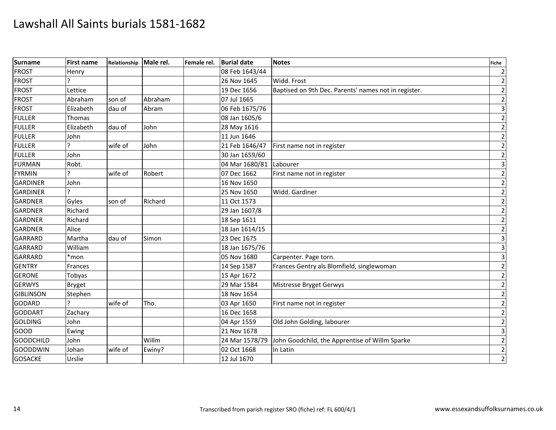| <b>Surname</b>   | First name    | Relationship | Male rel. | Female rel. | <b>Burial date</b> | <b>Notes</b>                                         | <b>Fiche</b>            |
|------------------|---------------|--------------|-----------|-------------|--------------------|------------------------------------------------------|-------------------------|
| <b>FROST</b>     | Henry         |              |           |             | 08 Feb 1643/44     |                                                      | $\overline{2}$          |
| <b>FROST</b>     |               |              |           |             | 26 Nov 1645        | Widd. Frost                                          | $\overline{2}$          |
| <b>FROST</b>     | Lettice       |              |           |             | 19 Dec 1656        | Baptised on 9th Dec. Parents' names not in register. | $\mathbf 2$             |
| <b>FROST</b>     | Abraham       | son of       | Abraham   |             | 07 Jul 1665        |                                                      | $\overline{2}$          |
| <b>FROST</b>     | Elizabeth     | dau of       | Abram     |             | 06 Feb 1675/76     |                                                      | $\mathbf{3}$            |
| <b>FULLER</b>    | <b>Thomas</b> |              |           |             | 08 Jan 1605/6      |                                                      | $\overline{2}$          |
| <b>FULLER</b>    | Elizabeth     | dau of       | John      |             | 28 May 1616        |                                                      | $\mathbf 2$             |
| <b>FULLER</b>    | John          |              |           |             | 11 Jun 1646        |                                                      | $\overline{2}$          |
| <b>FULLER</b>    |               | wife of      | John      |             | 21 Feb 1646/47     | First name not in register                           | $\mathbf 2$             |
| <b>FULLER</b>    | John          |              |           |             | 30 Jan 1659/60     |                                                      | $\mathbf 2$             |
| <b>FURMAN</b>    | Robt.         |              |           |             | 04 Mar 1680/81     | Labourer                                             | $\overline{\mathbf{3}}$ |
| <b>FYRMIN</b>    | ς             | wife of      | Robert    |             | 07 Dec 1662        | First name not in register                           | $\mathbf 2$             |
| <b>GARDINER</b>  | John          |              |           |             | 16 Nov 1650        |                                                      | $\mathbf 2$             |
| <b>GARDINER</b>  |               |              |           |             | 25 Nov 1650        | Widd. Gardiner                                       | $\overline{2}$          |
| <b>GARDNER</b>   | Gyles         | son of       | Richard   |             | 11 Oct 1573        |                                                      | $\overline{2}$          |
| <b>GARDNER</b>   | Richard       |              |           |             | 29 Jan 1607/8      |                                                      | $\mathbf 2$             |
| <b>GARDNER</b>   | Richard       |              |           |             | 18 Sep 1611        |                                                      | $\mathbf 2$             |
| <b>GARDNER</b>   | Alice         |              |           |             | 18 Jan 1614/15     |                                                      | $\overline{2}$          |
| <b>GARRARD</b>   | Martha        | dau of       | Simon     |             | 23 Dec 1675        |                                                      | 3                       |
| <b>GARRARD</b>   | William       |              |           |             | 18 Jan 1675/76     |                                                      | $\overline{\mathbf{3}}$ |
| <b>GARRARD</b>   | *mon          |              |           |             | 05 Nov 1680        | Carpenter. Page torn.                                | $\overline{\mathbf{3}}$ |
| <b>GENTRY</b>    | Frances       |              |           |             | 14 Sep 1587        | Frances Gentry als Blomfield, singlewoman            | $\overline{2}$          |
| <b>GERONE</b>    | Tobyas        |              |           |             | 15 Apr 1672        |                                                      | $\overline{2}$          |
| <b>GERWYS</b>    | <b>Bryget</b> |              |           |             | 29 Mar 1584        | Mistresse Bryget Gerwys                              | $\overline{2}$          |
| <b>GIBLINSON</b> | Stephen       |              |           |             | 18 Nov 1654        |                                                      | $\mathbf{2}$            |
| <b>GODARD</b>    |               | wife of      | Tho.      |             | 03 Apr 1650        | First name not in register                           | $\overline{2}$          |
| <b>GODDART</b>   | Zachary       |              |           |             | 16 Dec 1658        |                                                      | $\overline{2}$          |
| <b>GOLDING</b>   | John          |              |           |             | 04 Apr 1559        | Old John Golding, labourer                           | $\overline{2}$          |
| GOOD             | Ewing         |              |           |             | 21 Nov 1678        |                                                      | $\overline{\mathbf{3}}$ |
| <b>GOODCHILD</b> | John          |              | Willm     |             | 24 Mar 1578/79     | John Goodchild, the Apprentise of Willm Sparke       | $\mathbf 2$             |
| <b>GOODDWIN</b>  | Johan         | wife of      | Ewiny?    |             | 02 Oct 1668        | In Latin                                             | $\overline{2}$          |
| <b>GOSACKE</b>   | Urslie        |              |           |             | 12 Jul 1670        |                                                      | $\overline{2}$          |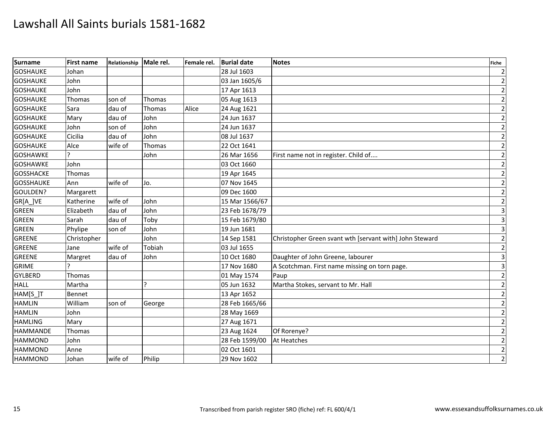| <b>Surname</b>   | <b>First name</b> | Relationship | Male rel. | Female rel. | <b>Burial date</b> | <b>Notes</b>                                            | <b>Fiche</b>            |
|------------------|-------------------|--------------|-----------|-------------|--------------------|---------------------------------------------------------|-------------------------|
| <b>GOSHAUKE</b>  | Johan             |              |           |             | 28 Jul 1603        |                                                         | $\overline{2}$          |
| <b>GOSHAUKE</b>  | John              |              |           |             | 03 Jan 1605/6      |                                                         | $\overline{2}$          |
| <b>GOSHAUKE</b>  | John              |              |           |             | 17 Apr 1613        |                                                         | $\overline{2}$          |
| <b>GOSHAUKE</b>  | Thomas            | son of       | Thomas    |             | 05 Aug 1613        |                                                         | $\mathbf{2}$            |
| <b>GOSHAUKE</b>  | Sara              | dau of       | Thomas    | Alice       | 24 Aug 1621        |                                                         | $\overline{2}$          |
| <b>GOSHAUKE</b>  | Mary              | dau of       | John      |             | 24 Jun 1637        |                                                         | $\overline{2}$          |
| <b>GOSHAUKE</b>  | John              | son of       | John      |             | 24 Jun 1637        |                                                         | $\overline{2}$          |
| <b>GOSHAUKE</b>  | Cicilia           | dau of       | John      |             | 08 Jul 1637        |                                                         | $\mathbf 2$             |
| <b>GOSHAUKE</b>  | Alce              | wife of      | Thomas    |             | 22 Oct 1641        |                                                         | $\overline{2}$          |
| <b>GOSHAWKE</b>  |                   |              | John      |             | 26 Mar 1656        | First name not in register. Child of                    | $\mathbf{2}$            |
| <b>GOSHAWKE</b>  | John              |              |           |             | 03 Oct 1660        |                                                         | $\mathbf 2$             |
| <b>GOSSHACKE</b> | Thomas            |              |           |             | 19 Apr 1645        |                                                         | $\overline{2}$          |
| <b>GOSSHAUKE</b> | Ann               | wife of      | Jo.       |             | 07 Nov 1645        |                                                         | $\overline{2}$          |
| GOULDEN?         | Margarett         |              |           |             | 09 Dec 1600        |                                                         | $\overline{2}$          |
| GR[A_]VE         | Katherine         | wife of      | John      |             | 15 Mar 1566/67     |                                                         | $\mathbf 2$             |
| <b>GREEN</b>     | Elizabeth         | dau of       | John      |             | 23 Feb 1678/79     |                                                         | $\overline{\mathbf{3}}$ |
| <b>GREEN</b>     | Sarah             | dau of       | Toby      |             | 15 Feb 1679/80     |                                                         | $\overline{3}$          |
| <b>GREEN</b>     | Phylipe           | son of       | John      |             | 19 Jun 1681        |                                                         | $\overline{3}$          |
| <b>GREENE</b>    | Christopher       |              | John      |             | 14 Sep 1581        | Christopher Green svant wth [servant with] John Steward | $\overline{2}$          |
| <b>GREENE</b>    | Jane              | wife of      | Tobiah    |             | 03 Jul 1655        |                                                         | $\mathbf 2$             |
| <b>GREENE</b>    | Margret           | dau of       | John      |             | 10 Oct 1680        | Daughter of John Greene, labourer                       | $\overline{3}$          |
| <b>GRIME</b>     |                   |              |           |             | 17 Nov 1680        | A Scotchman. First name missing on torn page.           | $\overline{3}$          |
| <b>GYLBERD</b>   | Thomas            |              |           |             | 01 May 1574        | Paup                                                    | $\overline{2}$          |
| <b>HALL</b>      | Martha            |              | J.        |             | 05 Jun 1632        | Martha Stokes, servant to Mr. Hall                      | $\overline{2}$          |
| HAM[S_]T         | Bennet            |              |           |             | 13 Apr 1652        |                                                         | $\overline{2}$          |
| <b>HAMLIN</b>    | William           | son of       | George    |             | 28 Feb 1665/66     |                                                         | $\overline{2}$          |
| <b>HAMLIN</b>    | John              |              |           |             | 28 May 1669        |                                                         | $\overline{2}$          |
| <b>HAMLING</b>   | Mary              |              |           |             | 27 Aug 1671        |                                                         | $\mathbf 2$             |
| <b>HAMMANDE</b>  | Thomas            |              |           |             | 23 Aug 1624        | Of Rorenye?                                             | $\mathbf 2$             |
| <b>HAMMOND</b>   | John              |              |           |             | 28 Feb 1599/00     | At Heatches                                             | $\mathbf{2}$            |
| <b>HAMMOND</b>   | Anne              |              |           |             | 02 Oct 1601        |                                                         | $\mathbf 2$             |
| <b>HAMMOND</b>   | Johan             | wife of      | Philip    |             | 29 Nov 1602        |                                                         | $\overline{2}$          |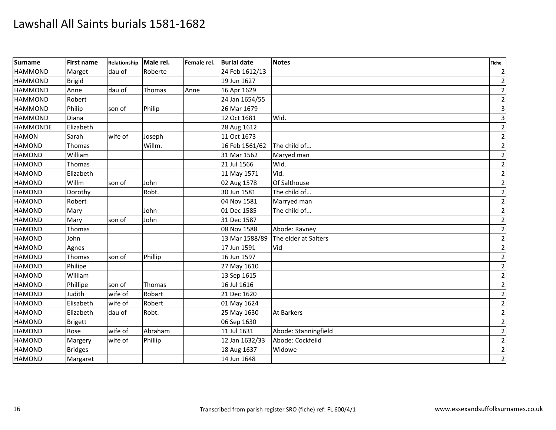| <b>Surname</b>  | <b>First name</b> | Relationship | Male rel. | Female rel. | <b>Burial date</b> | <b>Notes</b>         | <b>Fiche</b>   |
|-----------------|-------------------|--------------|-----------|-------------|--------------------|----------------------|----------------|
| <b>HAMMOND</b>  | Marget            | dau of       | Roberte   |             | 24 Feb 1612/13     |                      | $\overline{2}$ |
| <b>HAMMOND</b>  | <b>Brigid</b>     |              |           |             | 19 Jun 1627        |                      | $\overline{2}$ |
| <b>HAMMOND</b>  | Anne              | dau of       | Thomas    | Anne        | 16 Apr 1629        |                      | $\mathbf 2$    |
| <b>HAMMOND</b>  | Robert            |              |           |             | 24 Jan 1654/55     |                      | $\overline{2}$ |
| <b>HAMMOND</b>  | Philip            | son of       | Philip    |             | 26 Mar 1679        |                      | $\mathbf{3}$   |
| <b>HAMMOND</b>  | Diana             |              |           |             | 12 Oct 1681        | Wid.                 | 3              |
| <b>HAMMONDE</b> | Elizabeth         |              |           |             | 28 Aug 1612        |                      | $\overline{2}$ |
| <b>HAMON</b>    | Sarah             | wife of      | Joseph    |             | 11 Oct 1673        |                      | $\mathbf 2$    |
| <b>HAMOND</b>   | Thomas            |              | Willm.    |             | 16 Feb 1561/62     | The child of         | $\mathbf 2$    |
| <b>HAMOND</b>   | William           |              |           |             | 31 Mar 1562        | Maryed man           | $\mathbf 2$    |
| <b>HAMOND</b>   | Thomas            |              |           |             | 21 Jul 1566        | Wid.                 | $\mathbf 2$    |
| <b>HAMOND</b>   | Elizabeth         |              |           |             | 11 May 1571        | Vid.                 | $\overline{c}$ |
| <b>HAMOND</b>   | Willm             | son of       | John      |             | 02 Aug 1578        | Of Salthouse         | $\mathbf 2$    |
| <b>HAMOND</b>   | Dorothy           |              | Robt.     |             | 30 Jun 1581        | The child of         | $\mathbf 2$    |
| <b>HAMOND</b>   | Robert            |              |           |             | 04 Nov 1581        | Marryed man          | $\overline{2}$ |
| <b>HAMOND</b>   | Mary              |              | John      |             | 01 Dec 1585        | The child of         | $\overline{c}$ |
| <b>HAMOND</b>   | Mary              | son of       | John      |             | 31 Dec 1587        |                      | $\mathbf 2$    |
| <b>HAMOND</b>   | Thomas            |              |           |             | 08 Nov 1588        | Abode: Ravney        | $\mathbf 2$    |
| <b>HAMOND</b>   | John              |              |           |             | 13 Mar 1588/89     | The elder at Salters | $\overline{2}$ |
| <b>HAMOND</b>   | Agnes             |              |           |             | 17 Jun 1591        | Vid                  | $\overline{c}$ |
| <b>HAMOND</b>   | Thomas            | son of       | Phillip   |             | 16 Jun 1597        |                      | $\overline{2}$ |
| <b>HAMOND</b>   | Philipe           |              |           |             | 27 May 1610        |                      | $\overline{2}$ |
| <b>HAMOND</b>   | William           |              |           |             | 13 Sep 1615        |                      | $\overline{2}$ |
| <b>HAMOND</b>   | Phillipe          | son of       | Thomas    |             | 16 Jul 1616        |                      | $\overline{2}$ |
| <b>HAMOND</b>   | Judith            | wife of      | Robart    |             | 21 Dec 1620        |                      | $\overline{2}$ |
| <b>HAMOND</b>   | Elisabeth         | wife of      | Robert    |             | 01 May 1624        |                      | $\mathbf 2$    |
| <b>HAMOND</b>   | Elizabeth         | dau of       | Robt.     |             | 25 May 1630        | <b>At Barkers</b>    | $\overline{2}$ |
| <b>HAMOND</b>   | Brigett           |              |           |             | 06 Sep 1630        |                      | $\mathbf 2$    |
| <b>HAMOND</b>   | Rose              | wife of      | Abraham   |             | 11 Jul 1631        | Abode: Stanningfield | $\overline{2}$ |
| <b>HAMOND</b>   | Margery           | wife of      | Phillip   |             | 12 Jan 1632/33     | Abode: Cockfeild     | $\mathbf{2}$   |
| <b>HAMOND</b>   | <b>Bridges</b>    |              |           |             | 18 Aug 1637        | Widowe               | $\mathbf 2$    |
| <b>HAMOND</b>   | Margaret          |              |           |             | 14 Jun 1648        |                      | $\overline{2}$ |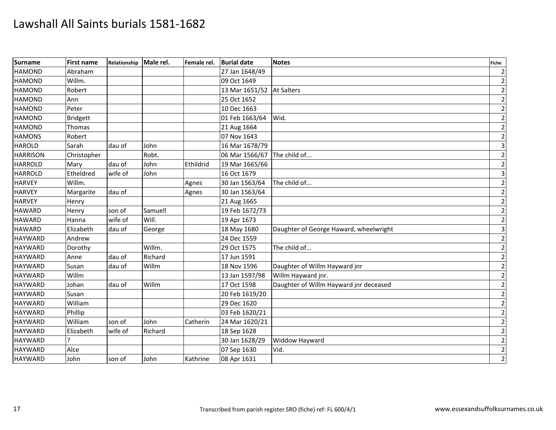| <b>Surname</b>  | First name      | Relationship | Male rel. | Female rel. | <b>Burial date</b>        | <b>Notes</b>                           | <b>Fiche</b>            |
|-----------------|-----------------|--------------|-----------|-------------|---------------------------|----------------------------------------|-------------------------|
| <b>HAMOND</b>   | Abraham         |              |           |             | 27 Jan 1648/49            |                                        | $\overline{2}$          |
| <b>HAMOND</b>   | Willm.          |              |           |             | 09 Oct 1649               |                                        | $\overline{2}$          |
| <b>HAMOND</b>   | Robert          |              |           |             | 13 Mar 1651/52 At Salters |                                        | $\mathbf 2$             |
| <b>HAMOND</b>   | Ann             |              |           |             | 25 Oct 1652               |                                        | $\mathbf{2}$            |
| <b>HAMOND</b>   | Peter           |              |           |             | 10 Dec 1663               |                                        | $\overline{2}$          |
| <b>HAMOND</b>   | <b>Bridgett</b> |              |           |             | 01 Feb 1663/64            | Wid.                                   | $\overline{2}$          |
| <b>HAMOND</b>   | Thomas          |              |           |             | 21 Aug 1664               |                                        | $\mathbf 2$             |
| <b>HAMONS</b>   | Robert          |              |           |             | 07 Nov 1643               |                                        | $\mathbf 2$             |
| <b>HAROLD</b>   | Sarah           | dau of       | John      |             | 16 Mar 1678/79            |                                        | $\overline{3}$          |
| <b>HARRISON</b> | Christopher     |              | Robt.     |             | 06 Mar 1566/67            | The child of                           | $\overline{2}$          |
| <b>HARROLD</b>  | Mary            | dau of       | John      | Ethildrid   | 19 Mar 1665/66            |                                        | $\mathbf 2$             |
| <b>HARROLD</b>  | Etheldred       | wife of      | John      |             | 16 Oct 1679               |                                        | $\overline{\mathbf{3}}$ |
| <b>HARVEY</b>   | Willm.          |              |           | Agnes       | 30 Jan 1563/64            | The child of                           | $\mathbf 2$             |
| <b>HARVEY</b>   | Margarite       | dau of       |           | Agnes       | 30 Jan 1563/64            |                                        | $\mathbf{2}$            |
| <b>HARVEY</b>   | Henry           |              |           |             | 21 Aug 1665               |                                        | $\mathbf 2$             |
| <b>HAWARD</b>   | Henry           | son of       | Samuell   |             | 19 Feb 1672/73            |                                        | $\mathbf 2$             |
| <b>HAWARD</b>   | Hanna           | wife of      | Will.     |             | 19 Apr 1673               |                                        | $\overline{2}$          |
| <b>HAWARD</b>   | Elizabeth       | dau of       | George    |             | 18 May 1680               | Daughter of George Haward, wheelwright | $\overline{\mathbf{3}}$ |
| <b>HAYWARD</b>  | Andrew          |              |           |             | 24 Dec 1559               |                                        | $\overline{2}$          |
| <b>HAYWARD</b>  | Dorothy         |              | Willm.    |             | 29 Oct 1575               | The child of                           | $\overline{2}$          |
| <b>HAYWARD</b>  | Anne            | dau of       | Richard   |             | 17 Jun 1591               |                                        | $\overline{2}$          |
| <b>HAYWARD</b>  | Susan           | dau of       | Willm     |             | 18 Nov 1596               | Daughter of Willm Hayward jnr          | $\overline{2}$          |
| <b>HAYWARD</b>  | Willm           |              |           |             | 13 Jan 1597/98            | Willm Hayward jnr.                     | $\overline{2}$          |
| <b>HAYWARD</b>  | Johan           | dau of       | Willm     |             | 17 Oct 1598               | Daughter of Willm Hayward jnr deceased | $\overline{2}$          |
| <b>HAYWARD</b>  | Susan           |              |           |             | 20 Feb 1619/20            |                                        | $\overline{2}$          |
| <b>HAYWARD</b>  | William         |              |           |             | 29 Dec 1620               |                                        | $\overline{2}$          |
| <b>HAYWARD</b>  | Phillip         |              |           |             | 03 Feb 1620/21            |                                        | $\overline{2}$          |
| <b>HAYWARD</b>  | William         | son of       | John      | Catherin    | 24 Mar 1620/21            |                                        | $\mathbf 2$             |
| <b>HAYWARD</b>  | Elizabeth       | wife of      | Richard   |             | 18 Sep 1628               |                                        | $\mathbf 2$             |
| <b>HAYWARD</b>  |                 |              |           |             | 30 Jan 1628/29            | Widdow Hayward                         | $\mathbf{2}$            |
| <b>HAYWARD</b>  | Alce            |              |           |             | 07 Sep 1630               | Vid.                                   | $\overline{2}$          |
| <b>HAYWARD</b>  | John            | son of       | John      | Kathrine    | 08 Apr 1631               |                                        | $\overline{2}$          |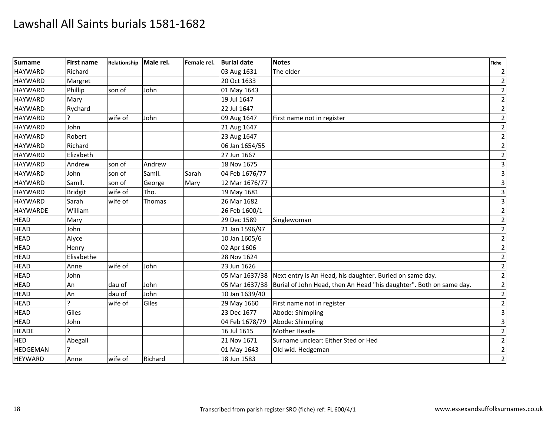| <b>Surname</b>  | First name     | Relationship Male rel. |         | Female rel. | <b>Burial date</b> | <b>Notes</b>                                                                       | <b>Fiche</b>            |
|-----------------|----------------|------------------------|---------|-------------|--------------------|------------------------------------------------------------------------------------|-------------------------|
| <b>HAYWARD</b>  | Richard        |                        |         |             | 03 Aug 1631        | The elder                                                                          | $\overline{2}$          |
| <b>HAYWARD</b>  | Margret        |                        |         |             | 20 Oct 1633        |                                                                                    | $\overline{2}$          |
| <b>HAYWARD</b>  | Phillip        | son of                 | John    |             | 01 May 1643        |                                                                                    | $\mathbf 2$             |
| <b>HAYWARD</b>  | Mary           |                        |         |             | 19 Jul 1647        |                                                                                    | $\overline{2}$          |
| <b>HAYWARD</b>  | Rychard        |                        |         |             | 22 Jul 1647        |                                                                                    | $\overline{2}$          |
| <b>HAYWARD</b>  |                | wife of                | John    |             | 09 Aug 1647        | First name not in register                                                         | $\overline{2}$          |
| <b>HAYWARD</b>  | John           |                        |         |             | 21 Aug 1647        |                                                                                    | $\overline{2}$          |
| <b>HAYWARD</b>  | Robert         |                        |         |             | 23 Aug 1647        |                                                                                    | $\mathbf 2$             |
| <b>HAYWARD</b>  | Richard        |                        |         |             | 06 Jan 1654/55     |                                                                                    | $\mathbf 2$             |
| <b>HAYWARD</b>  | Elizabeth      |                        |         |             | 27 Jun 1667        |                                                                                    | $\mathbf 2$             |
| <b>HAYWARD</b>  | Andrew         | son of                 | Andrew  |             | 18 Nov 1675        |                                                                                    | $\overline{\mathbf{3}}$ |
| <b>HAYWARD</b>  | John           | son of                 | Samll.  | Sarah       | 04 Feb 1676/77     |                                                                                    | $\overline{\mathbf{3}}$ |
| <b>HAYWARD</b>  | Samll.         | son of                 | George  | Mary        | 12 Mar 1676/77     |                                                                                    | 3                       |
| <b>HAYWARD</b>  | <b>Bridgit</b> | wife of                | Tho.    |             | 19 May 1681        |                                                                                    | $\overline{\mathbf{3}}$ |
| <b>HAYWARD</b>  | Sarah          | wife of                | Thomas  |             | 26 Mar 1682        |                                                                                    | $\overline{\mathbf{3}}$ |
| <b>HAYWARDE</b> | William        |                        |         |             | 26 Feb 1600/1      |                                                                                    | $\mathbf 2$             |
| <b>HEAD</b>     | Mary           |                        |         |             | 29 Dec 1589        | Singlewoman                                                                        | $\mathbf{2}$            |
| <b>HEAD</b>     | John           |                        |         |             | 21 Jan 1596/97     |                                                                                    | $\mathbf 2$             |
| <b>HEAD</b>     | Alyce          |                        |         |             | 10 Jan 1605/6      |                                                                                    | $\overline{2}$          |
| <b>HEAD</b>     | Henry          |                        |         |             | 02 Apr 1606        |                                                                                    | $\overline{c}$          |
| <b>HEAD</b>     | Elisabethe     |                        |         |             | 28 Nov 1624        |                                                                                    | $\overline{2}$          |
| <b>HEAD</b>     | Anne           | wife of                | John    |             | 23 Jun 1626        |                                                                                    | $\mathbf 2$             |
| <b>HEAD</b>     | John           |                        |         |             |                    | 05 Mar 1637/38 Next entry is An Head, his daughter. Buried on same day.            | $\overline{2}$          |
| <b>HEAD</b>     | An             | dau of                 | John    |             |                    | 05 Mar 1637/38 Burial of John Head, then An Head "his daughter". Both on same day. | $\overline{2}$          |
| <b>HEAD</b>     | An             | dau of                 | John    |             | 10 Jan 1639/40     |                                                                                    | $\overline{2}$          |
| <b>HEAD</b>     | っ              | wife of                | Giles   |             | 29 May 1660        | First name not in register                                                         | $\mathbf 2$             |
| <b>HEAD</b>     | Giles          |                        |         |             | 23 Dec 1677        | Abode: Shimpling                                                                   | 3                       |
| <b>HEAD</b>     | John           |                        |         |             | 04 Feb 1678/79     | Abode: Shimpling                                                                   | 3                       |
| <b>HEADE</b>    |                |                        |         |             | 16 Jul 1615        | <b>Mother Heade</b>                                                                | $\overline{2}$          |
| <b>HED</b>      | Abegall        |                        |         |             | 21 Nov 1671        | Surname unclear: Either Sted or Hed                                                | $\mathbf{2}$            |
| <b>HEDGEMAN</b> |                |                        |         |             | 01 May 1643        | Old wid. Hedgeman                                                                  | $\mathbf 2$             |
| <b>HEYWARD</b>  | Anne           | wife of                | Richard |             | 18 Jun 1583        |                                                                                    | $\overline{2}$          |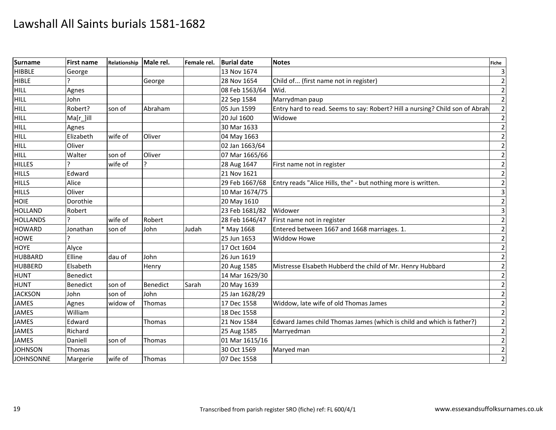| <b>Surname</b>   | <b>First name</b> | Relationship Male rel. |                 | Female rel. | <b>Burial date</b> | <b>Notes</b>                                                                 | <b>Fiche</b> |
|------------------|-------------------|------------------------|-----------------|-------------|--------------------|------------------------------------------------------------------------------|--------------|
| <b>HIBBLE</b>    | George            |                        |                 |             | 13 Nov 1674        |                                                                              |              |
| <b>HIBLE</b>     |                   |                        | George          |             | 28 Nov 1654        | Child of (first name not in register)                                        |              |
| <b>HILL</b>      | Agnes             |                        |                 |             | 08 Feb 1563/64     | Wid.                                                                         |              |
| HILL             | John              |                        |                 |             | 22 Sep 1584        | Marrydman paup                                                               |              |
| HILL             | Robert?           | son of                 | Abraham         |             | 05 Jun 1599        | Entry hard to read. Seems to say: Robert? Hill a nursing? Child son of Abrah |              |
| HILL             | $Ma[r_$ ]ill      |                        |                 |             | 20 Jul 1600        | Widowe                                                                       |              |
| <b>HILL</b>      | Agnes             |                        |                 |             | 30 Mar 1633        |                                                                              |              |
| HILL             | Elizabeth         | wife of                | Oliver          |             | 04 May 1663        |                                                                              |              |
| HILL             | Oliver            |                        |                 |             | 02 Jan 1663/64     |                                                                              |              |
| <b>HILL</b>      | Walter            | son of                 | Oliver          |             | 07 Mar 1665/66     |                                                                              |              |
| <b>HILLES</b>    |                   | wife of                |                 |             | 28 Aug 1647        | First name not in register                                                   |              |
| <b>HILLS</b>     | Edward            |                        |                 |             | 21 Nov 1621        |                                                                              |              |
| <b>HILLS</b>     | Alice             |                        |                 |             | 29 Feb 1667/68     | Entry reads "Alice Hills, the" - but nothing more is written.                |              |
| <b>HILLS</b>     | Oliver            |                        |                 |             | 10 Mar 1674/75     |                                                                              |              |
| <b>HOIE</b>      | Dorothie          |                        |                 |             | 20 May 1610        |                                                                              |              |
| <b>HOLLAND</b>   | Robert            |                        |                 |             | 23 Feb 1681/82     | Widower                                                                      |              |
| <b>HOLLANDS</b>  |                   | wife of                | Robert          |             | 28 Feb 1646/47     | First name not in register                                                   |              |
| <b>HOWARD</b>    | Jonathan          | son of                 | John            | Judah       | * May 1668         | Entered between 1667 and 1668 marriages. 1.                                  |              |
| <b>HOWE</b>      |                   |                        |                 |             | 25 Jun 1653        | <b>Widdow Howe</b>                                                           |              |
| <b>HOYE</b>      | Alyce             |                        |                 |             | 17 Oct 1604        |                                                                              |              |
| <b>HUBBARD</b>   | Elline            | dau of                 | John            |             | 26 Jun 1619        |                                                                              |              |
| <b>HUBBERD</b>   | Elsabeth          |                        | Henry           |             | 20 Aug 1585        | Mistresse Elsabeth Hubberd the child of Mr. Henry Hubbard                    |              |
| <b>HUNT</b>      | Benedict          |                        |                 |             | 14 Mar 1629/30     |                                                                              |              |
| <b>HUNT</b>      | Benedict          | son of                 | <b>Benedict</b> | Sarah       | 20 May 1639        |                                                                              |              |
| <b>JACKSON</b>   | John              | son of                 | John            |             | 25 Jan 1628/29     |                                                                              |              |
| <b>JAMES</b>     | Agnes             | widow of               | Thomas          |             | 17 Dec 1558        | Widdow, late wife of old Thomas James                                        |              |
| <b>JAMES</b>     | William           |                        |                 |             | 18 Dec 1558        |                                                                              |              |
| <b>JAMES</b>     | Edward            |                        | Thomas          |             | 21 Nov 1584        | Edward James child Thomas James (which is child and which is father?)        | 2            |
| <b>JAMES</b>     | Richard           |                        |                 |             | 25 Aug 1585        | Marryedman                                                                   |              |
| <b>JAMES</b>     | Daniell           | son of                 | Thomas          |             | 01 Mar 1615/16     |                                                                              |              |
| <b>JOHNSON</b>   | Thomas            |                        |                 |             | 30 Oct 1569        | Maryed man                                                                   |              |
| <b>JOHNSONNE</b> | Margerie          | wife of                | Thomas          |             | 07 Dec 1558        |                                                                              |              |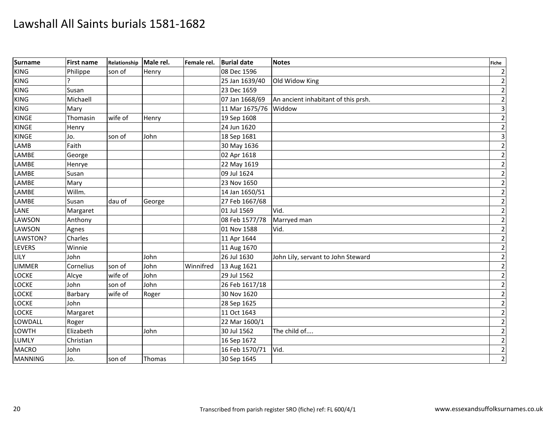| Surname        | <b>First name</b> | Relationship | Male rel. | Female rel. | <b>Burial date</b> | <b>Notes</b>                        | <b>Fiche</b>            |
|----------------|-------------------|--------------|-----------|-------------|--------------------|-------------------------------------|-------------------------|
| <b>KING</b>    | Philippe          | son of       | Henry     |             | 08 Dec 1596        |                                     | $\overline{2}$          |
| <b>KING</b>    |                   |              |           |             | 25 Jan 1639/40     | Old Widow King                      | $\overline{2}$          |
| <b>KING</b>    | Susan             |              |           |             | 23 Dec 1659        |                                     | $\overline{2}$          |
| <b>KING</b>    | Michaell          |              |           |             | 07 Jan 1668/69     | An ancient inhabitant of this prsh. | $\overline{2}$          |
| <b>KING</b>    | Mary              |              |           |             | 11 Mar 1675/76     | Widdow                              | $\overline{3}$          |
| <b>KINGE</b>   | Thomasin          | wife of      | Henry     |             | 19 Sep 1608        |                                     | $\overline{2}$          |
| <b>KINGE</b>   | Henry             |              |           |             | 24 Jun 1620        |                                     | $\overline{2}$          |
| <b>KINGE</b>   | Jo.               | son of       | John      |             | 18 Sep 1681        |                                     | $\overline{\mathbf{3}}$ |
| LAMB           | Faith             |              |           |             | 30 May 1636        |                                     | $\mathbf 2$             |
| LAMBE          | George            |              |           |             | 02 Apr 1618        |                                     | $\mathbf{2}$            |
| LAMBE          | Henrye            |              |           |             | 22 May 1619        |                                     | $\overline{2}$          |
| LAMBE          | Susan             |              |           |             | 09 Jul 1624        |                                     | $\overline{2}$          |
| LAMBE          | Mary              |              |           |             | 23 Nov 1650        |                                     | $\mathbf{2}$            |
| LAMBE          | Willm.            |              |           |             | 14 Jan 1650/51     |                                     | $\mathbf{2}$            |
| <b>LAMBE</b>   | Susan             | dau of       | George    |             | 27 Feb 1667/68     |                                     | $\overline{2}$          |
| LANE           | Margaret          |              |           |             | 01 Jul 1569        | Vid.                                | $\overline{2}$          |
| LAWSON         | Anthony           |              |           |             | 08 Feb 1577/78     | Marryed man                         | $\mathbf 2$             |
| LAWSON         | Agnes             |              |           |             | 01 Nov 1588        | Vid.                                | $\mathbf{2}$            |
| LAWSTON?       | Charles           |              |           |             | 11 Apr 1644        |                                     | $\overline{2}$          |
| <b>LEVERS</b>  | Winnie            |              |           |             | 11 Aug 1670        |                                     | $\overline{2}$          |
| LILY           | John              |              | John      |             | 26 Jul 1630        | John Lily, servant to John Steward  | $\overline{2}$          |
| <b>LIMMER</b>  | Cornelius         | son of       | John      | Winnifred   | 13 Aug 1621        |                                     | $\mathbf 2$             |
| <b>LOCKE</b>   | Alcye             | wife of      | John      |             | 29 Jul 1562        |                                     | $\overline{2}$          |
| <b>LOCKE</b>   | John              | son of       | John      |             | 26 Feb 1617/18     |                                     | $\mathbf 2$             |
| <b>LOCKE</b>   | Barbary           | wife of      | Roger     |             | 30 Nov 1620        |                                     | $\mathbf 2$             |
| <b>LOCKE</b>   | John              |              |           |             | 28 Sep 1625        |                                     | $\overline{2}$          |
| <b>LOCKE</b>   | Margaret          |              |           |             | 11 Oct 1643        |                                     | $\mathbf 2$             |
| LOWDALL        | Roger             |              |           |             | 22 Mar 1600/1      |                                     | $\overline{2}$          |
| <b>LOWTH</b>   | Elizabeth         |              | John      |             | 30 Jul 1562        | The child of                        | $\mathbf 2$             |
| <b>LUMLY</b>   | Christian         |              |           |             | 16 Sep 1672        |                                     | $\mathbf{2}$            |
| <b>MACRO</b>   | John              |              |           |             | 16 Feb 1570/71     | Vid.                                | $\overline{2}$          |
| <b>MANNING</b> | Jo.               | son of       | Thomas    |             | 30 Sep 1645        |                                     | $\overline{2}$          |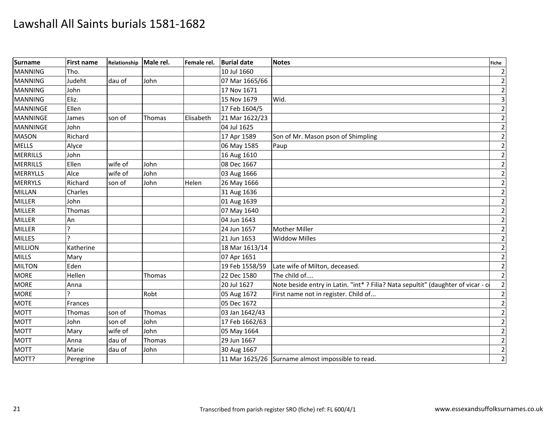| <b>Surname</b>  | First name | Relationship | Male rel. | Female rel. | <b>Burial date</b> | <b>Notes</b>                                                                    | Fiche          |
|-----------------|------------|--------------|-----------|-------------|--------------------|---------------------------------------------------------------------------------|----------------|
| <b>MANNING</b>  | Tho.       |              |           |             | 10 Jul 1660        |                                                                                 |                |
| <b>MANNING</b>  | Judeht     | dau of       | John      |             | 07 Mar 1665/66     |                                                                                 |                |
| <b>MANNING</b>  | John       |              |           |             | 17 Nov 1671        |                                                                                 |                |
| <b>MANNING</b>  | Eliz.      |              |           |             | 15 Nov 1679        | Wid.                                                                            |                |
| <b>MANNINGE</b> | Ellen      |              |           |             | 17 Feb 1604/5      |                                                                                 |                |
| <b>MANNINGE</b> | James      | son of       | Thomas    | Elisabeth   | 21 Mar 1622/23     |                                                                                 |                |
| <b>MANNINGE</b> | John       |              |           |             | 04 Jul 1625        |                                                                                 |                |
| <b>MASON</b>    | Richard    |              |           |             | 17 Apr 1589        | Son of Mr. Mason pson of Shimpling                                              |                |
| <b>MELLS</b>    | Alyce      |              |           |             | 06 May 1585        | Paup                                                                            |                |
| <b>MERRILLS</b> | John       |              |           |             | 16 Aug 1610        |                                                                                 |                |
| <b>MERRILLS</b> | Ellen      | wife of      | John      |             | 08 Dec 1667        |                                                                                 |                |
| <b>MERRYLLS</b> | Alce       | wife of      | John      |             | 03 Aug 1666        |                                                                                 |                |
| <b>MERRYLS</b>  | Richard    | son of       | John      | Helen       | 26 May 1666        |                                                                                 | $\mathcal{P}$  |
| MILLAN          | Charles    |              |           |             | 31 Aug 1636        |                                                                                 |                |
| <b>MILLER</b>   | John       |              |           |             | 01 Aug 1639        |                                                                                 |                |
| <b>MILLER</b>   | Thomas     |              |           |             | 07 May 1640        |                                                                                 |                |
| <b>MILLER</b>   | An         |              |           |             | 04 Jun 1643        |                                                                                 |                |
| <b>MILLER</b>   |            |              |           |             | 24 Jun 1657        | Mother Miller                                                                   |                |
| <b>MILLES</b>   |            |              |           |             | 21 Jun 1653        | <b>Widdow Milles</b>                                                            |                |
| <b>MILLION</b>  | Katherine  |              |           |             | 18 Mar 1613/14     |                                                                                 |                |
| <b>MILLS</b>    | Mary       |              |           |             | 07 Apr 1651        |                                                                                 |                |
| <b>MILTON</b>   | Eden       |              |           |             | 19 Feb 1558/59     | Late wife of Milton, deceased.                                                  |                |
| <b>MORE</b>     | Hellen     |              | Thomas    |             | 22 Dec 1580        | The child of                                                                    |                |
| <b>MORE</b>     | Anna       |              |           |             | 20 Jul 1627        | Note beside entry in Latin. "int*? Filia? Nata sepultit" (daughter of vicar - c |                |
| <b>MORE</b>     |            |              | Robt      |             | 05 Aug 1672        | First name not in register. Child of                                            |                |
| <b>MOTE</b>     | Frances    |              |           |             | 05 Dec 1672        |                                                                                 |                |
| <b>MOTT</b>     | Thomas     | son of       | Thomas    |             | 03 Jan 1642/43     |                                                                                 |                |
| <b>MOTT</b>     | John       | son of       | John      |             | 17 Feb 1662/63     |                                                                                 |                |
| <b>MOTT</b>     | Mary       | wife of      | John      |             | 05 May 1664        |                                                                                 |                |
| <b>MOTT</b>     | Anna       | dau of       | Thomas    |             | 29 Jun 1667        |                                                                                 |                |
| <b>MOTT</b>     | Marie      | dau of       | John      |             | 30 Aug 1667        |                                                                                 |                |
| MOTT?           | Peregrine  |              |           |             |                    | 11 Mar 1625/26 Surname almost impossible to read.                               | $\overline{2}$ |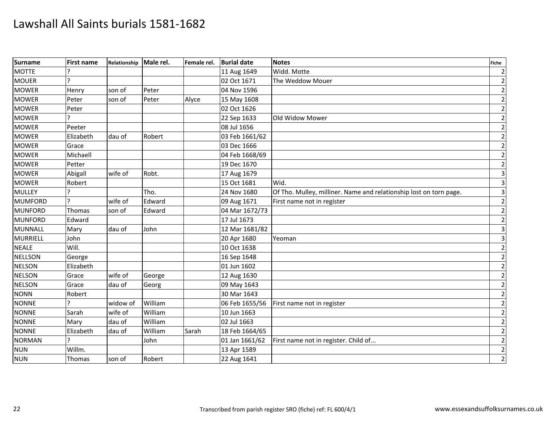| <b>Surname</b>  | First name | Relationship | Male rel. | Female rel. | <b>Burial date</b> | <b>Notes</b>                                                       | <b>Fiche</b>            |
|-----------------|------------|--------------|-----------|-------------|--------------------|--------------------------------------------------------------------|-------------------------|
| <b>MOTTE</b>    |            |              |           |             | 11 Aug 1649        | Widd. Motte                                                        | $\overline{2}$          |
| <b>MOUER</b>    | ς          |              |           |             | 02 Oct 1671        | The Weddow Mouer                                                   | $\overline{2}$          |
| <b>MOWER</b>    | Henry      | son of       | Peter     |             | 04 Nov 1596        |                                                                    | $\mathbf 2$             |
| <b>MOWER</b>    | Peter      | son of       | Peter     | Alyce       | 15 May 1608        |                                                                    | $\mathbf 2$             |
| <b>MOWER</b>    | Peter      |              |           |             | 02 Oct 1626        |                                                                    | $\overline{2}$          |
| <b>MOWER</b>    |            |              |           |             | 22 Sep 1633        | Old Widow Mower                                                    | $\mathbf 2$             |
| <b>MOWER</b>    | Peeter     |              |           |             | 08 Jul 1656        |                                                                    | $\overline{2}$          |
| <b>MOWER</b>    | Elizabeth  | dau of       | Robert    |             | 03 Feb 1661/62     |                                                                    | $\overline{2}$          |
| <b>MOWER</b>    | Grace      |              |           |             | 03 Dec 1666        |                                                                    | $\mathbf 2$             |
| <b>MOWER</b>    | Michaell   |              |           |             | 04 Feb 1668/69     |                                                                    | $\mathbf 2$             |
| <b>MOWER</b>    | Petter     |              |           |             | 19 Dec 1670        |                                                                    | $\mathbf 2$             |
| <b>MOWER</b>    | Abigall    | wife of      | Robt.     |             | 17 Aug 1679        |                                                                    | $\overline{\mathbf{3}}$ |
| <b>MOWER</b>    | Robert     |              |           |             | 15 Oct 1681        | Wid.                                                               | $\overline{\mathbf{3}}$ |
| <b>MULLEY</b>   |            |              | Tho.      |             | 24 Nov 1680        | Of Tho. Mulley, milliner. Name and relationship lost on torn page. | $\overline{\mathbf{3}}$ |
| <b>MUMFORD</b>  |            | wife of      | Edward    |             | 09 Aug 1671        | First name not in register                                         | $\overline{2}$          |
| <b>MUNFORD</b>  | Thomas     | son of       | Edward    |             | 04 Mar 1672/73     |                                                                    | $\overline{2}$          |
| <b>MUNFORD</b>  | Edward     |              |           |             | 17 Jul 1673        |                                                                    | $\overline{2}$          |
| <b>MUNNALL</b>  | Mary       | dau of       | John      |             | 12 Mar 1681/82     |                                                                    | $\overline{\mathbf{3}}$ |
| <b>MURRIELL</b> | John       |              |           |             | 20 Apr 1680        | Yeoman                                                             | $\overline{3}$          |
| <b>NEALE</b>    | Will.      |              |           |             | 10 Oct 1638        |                                                                    | $\mathbf 2$             |
| <b>NELLSON</b>  | George     |              |           |             | 16 Sep 1648        |                                                                    | $\mathbf{2}$            |
| <b>NELSON</b>   | Elizabeth  |              |           |             | 01 Jun 1602        |                                                                    | $\overline{2}$          |
| <b>NELSON</b>   | Grace      | wife of      | George    |             | 12 Aug 1630        |                                                                    | $\overline{2}$          |
| <b>NELSON</b>   | Grace      | dau of       | Georg     |             | 09 May 1643        |                                                                    | $\mathbf 2$             |
| <b>NONN</b>     | Robert     |              |           |             | 30 Mar 1643        |                                                                    | $\mathbf 2$             |
| <b>NONNE</b>    |            | widow of     | William   |             | 06 Feb 1655/56     | First name not in register                                         | $\mathbf 2$             |
| <b>NONNE</b>    | Sarah      | wife of      | William   |             | 10 Jun 1663        |                                                                    | $\overline{2}$          |
| <b>NONNE</b>    | Mary       | dau of       | William   |             | 02 Jul 1663        |                                                                    | $\mathbf 2$             |
| <b>NONNE</b>    | Elizabeth  | dau of       | William   | Sarah       | 18 Feb 1664/65     |                                                                    | $\mathbf 2$             |
| <b>NORMAN</b>   |            |              | John      |             | 01 Jan 1661/62     | First name not in register. Child of                               | $\overline{2}$          |
| <b>NUN</b>      | Willm.     |              |           |             | 13 Apr 1589        |                                                                    | $\overline{2}$          |
| <b>NUN</b>      | Thomas     | son of       | Robert    |             | 22 Aug 1641        |                                                                    | $\overline{2}$          |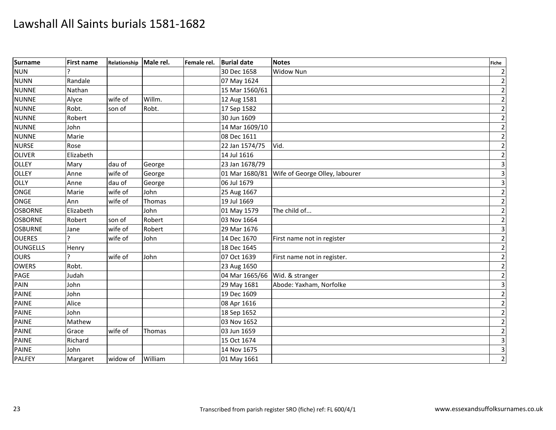| <b>Surname</b>  | First name | Relationship Male rel. |         | Female rel. | <b>Burial date</b> | <b>Notes</b>                                  | <b>Fiche</b>            |
|-----------------|------------|------------------------|---------|-------------|--------------------|-----------------------------------------------|-------------------------|
| <b>NUN</b>      |            |                        |         |             | 30 Dec 1658        | <b>Widow Nun</b>                              | $\overline{2}$          |
| <b>NUNN</b>     | Randale    |                        |         |             | 07 May 1624        |                                               | $\mathbf 2$             |
| <b>NUNNE</b>    | Nathan     |                        |         |             | 15 Mar 1560/61     |                                               | $\overline{2}$          |
| <b>NUNNE</b>    | Alyce      | wife of                | Willm.  |             | 12 Aug 1581        |                                               | $\overline{2}$          |
| <b>NUNNE</b>    | Robt.      | son of                 | Robt.   |             | 17 Sep 1582        |                                               | $\overline{2}$          |
| <b>NUNNE</b>    | Robert     |                        |         |             | 30 Jun 1609        |                                               | $\overline{2}$          |
| <b>NUNNE</b>    | John       |                        |         |             | 14 Mar 1609/10     |                                               | $\mathbf 2$             |
| <b>NUNNE</b>    | Marie      |                        |         |             | 08 Dec 1611        |                                               | $\mathbf 2$             |
| <b>NURSE</b>    | Rose       |                        |         |             | 22 Jan 1574/75     | Vid.                                          | $\overline{2}$          |
| <b>OLIVER</b>   | Elizabeth  |                        |         |             | 14 Jul 1616        |                                               | $\mathbf{2}$            |
| OLLEY           | Mary       | dau of                 | George  |             | 23 Jan 1678/79     |                                               | $\overline{3}$          |
| <b>OLLEY</b>    | Anne       | wife of                | George  |             |                    | 01 Mar 1680/81 Wife of George Olley, labourer | $\overline{\mathbf{3}}$ |
| OLLY            | Anne       | dau of                 | George  |             | 06 Jul 1679        |                                               | $\overline{3}$          |
| <b>ONGE</b>     | Marie      | wife of                | John    |             | 25 Aug 1667        |                                               | $\mathbf{2}$            |
| ONGE            | Ann        | wife of                | Thomas  |             | 19 Jul 1669        |                                               | $\overline{2}$          |
| <b>OSBORNE</b>  | Elizabeth  |                        | John    |             | 01 May 1579        | The child of                                  | $\overline{2}$          |
| <b>OSBORNE</b>  | Robert     | son of                 | Robert  |             | 03 Nov 1664        |                                               | $\mathbf 2$             |
| <b>OSBURNE</b>  | Jane       | wife of                | Robert  |             | 29 Mar 1676        |                                               | $\overline{3}$          |
| <b>OUERES</b>   |            | wife of                | John    |             | 14 Dec 1670        | First name not in register                    | $\overline{2}$          |
| <b>OUNGELLS</b> | Henry      |                        |         |             | 18 Dec 1645        |                                               | $\overline{2}$          |
| <b>OURS</b>     | C.         | wife of                | John    |             | 07 Oct 1639        | First name not in register.                   | $\mathbf 2$             |
| <b>OWERS</b>    | Robt.      |                        |         |             | 23 Aug 1650        |                                               | $\overline{2}$          |
| PAGE            | Judah      |                        |         |             | 04 Mar 1665/66     | Wid. & stranger                               | $\mathbf{2}$            |
| PAIN            | John       |                        |         |             | 29 May 1681        | Abode: Yaxham, Norfolke                       | $\overline{\mathbf{3}}$ |
| <b>PAINE</b>    | John       |                        |         |             | 19 Dec 1609        |                                               | $\overline{2}$          |
| <b>PAINE</b>    | Alice      |                        |         |             | 08 Apr 1616        |                                               | $\mathbf 2$             |
| <b>PAINE</b>    | John       |                        |         |             | 18 Sep 1652        |                                               | $\overline{2}$          |
| PAINE           | Mathew     |                        |         |             | 03 Nov 1652        |                                               | $\overline{2}$          |
| <b>PAINE</b>    | Grace      | wife of                | Thomas  |             | 03 Jun 1659        |                                               | $\overline{2}$          |
| <b>PAINE</b>    | Richard    |                        |         |             | 15 Oct 1674        |                                               | $\overline{3}$          |
| <b>PAINE</b>    | John       |                        |         |             | 14 Nov 1675        |                                               | $\overline{3}$          |
| PALFEY          | Margaret   | widow of               | William |             | 01 May 1661        |                                               | $\overline{2}$          |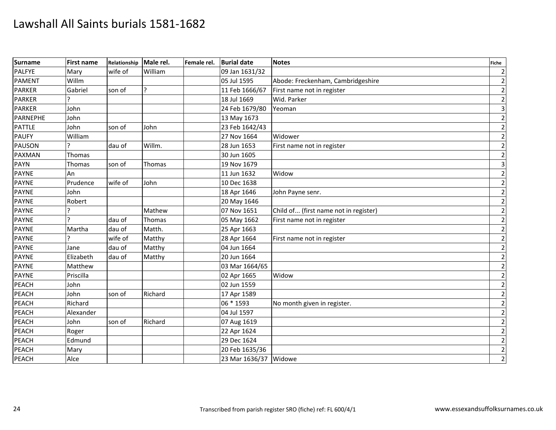| <b>Surname</b>  | <b>First name</b> | Relationship | Male rel. | Female rel. | <b>Burial date</b>    | <b>Notes</b>                          | <b>Fiche</b>            |
|-----------------|-------------------|--------------|-----------|-------------|-----------------------|---------------------------------------|-------------------------|
| <b>PALFYE</b>   | Mary              | wife of      | William   |             | 09 Jan 1631/32        |                                       | $\overline{2}$          |
| <b>PAMENT</b>   | Willm             |              |           |             | 05 Jul 1595           | Abode: Freckenham, Cambridgeshire     | $\overline{2}$          |
| <b>PARKER</b>   | Gabriel           | son of       | ŗ         |             | 11 Feb 1666/67        | First name not in register            | $\overline{2}$          |
| <b>PARKER</b>   |                   |              |           |             | 18 Jul 1669           | Wid. Parker                           | $\overline{2}$          |
| <b>PARKER</b>   | John              |              |           |             | 24 Feb 1679/80        | Yeoman                                | $\mathsf 3$             |
| <b>PARNEPHE</b> | John              |              |           |             | 13 May 1673           |                                       | $\overline{2}$          |
| <b>PATTLE</b>   | John              | son of       | John      |             | 23 Feb 1642/43        |                                       | $\overline{2}$          |
| <b>PAUFY</b>    | William           |              |           |             | 27 Nov 1664           | Widower                               | $\overline{2}$          |
| <b>PAUSON</b>   |                   | dau of       | Willm.    |             | 28 Jun 1653           | First name not in register            | $\overline{2}$          |
| PAXMAN          | Thomas            |              |           |             | 30 Jun 1605           |                                       | $\mathbf{2}$            |
| <b>PAYN</b>     | Thomas            | son of       | Thomas    |             | 19 Nov 1679           |                                       | $\overline{\mathbf{3}}$ |
| PAYNE           | An                |              |           |             | 11 Jun 1632           | Widow                                 | $\overline{2}$          |
| <b>PAYNE</b>    | Prudence          | wife of      | John      |             | 10 Dec 1638           |                                       | $\mathbf{2}$            |
| <b>PAYNE</b>    | John              |              |           |             | 18 Apr 1646           | John Payne senr.                      | $\overline{2}$          |
| <b>PAYNE</b>    | Robert            |              |           |             | 20 May 1646           |                                       | $\mathbf 2$             |
| <b>PAYNE</b>    |                   |              | Mathew    |             | 07 Nov 1651           | Child of (first name not in register) | $\overline{2}$          |
| <b>PAYNE</b>    | $\overline{ }$    | dau of       | Thomas    |             | 05 May 1662           | First name not in register            | $\overline{2}$          |
| <b>PAYNE</b>    | Martha            | dau of       | Matth.    |             | 25 Apr 1663           |                                       | $\overline{2}$          |
| <b>PAYNE</b>    |                   | wife of      | Matthy    |             | 28 Apr 1664           | First name not in register            | $\overline{2}$          |
| <b>PAYNE</b>    | Jane              | dau of       | Matthy    |             | 04 Jun 1664           |                                       | $\mathbf 2$             |
| <b>PAYNE</b>    | Elizabeth         | dau of       | Matthy    |             | 20 Jun 1664           |                                       | $\overline{2}$          |
| <b>PAYNE</b>    | Matthew           |              |           |             | 03 Mar 1664/65        |                                       | $\mathbf{2}$            |
| <b>PAYNE</b>    | Priscilla         |              |           |             | 02 Apr 1665           | Widow                                 | $\overline{2}$          |
| PEACH           | John              |              |           |             | 02 Jun 1559           |                                       | $\overline{2}$          |
| <b>PEACH</b>    | John              | son of       | Richard   |             | 17 Apr 1589           |                                       | $\overline{2}$          |
| PEACH           | Richard           |              |           |             | 06 * 1593             | No month given in register.           | $\overline{2}$          |
| PEACH           | Alexander         |              |           |             | 04 Jul 1597           |                                       | $\overline{2}$          |
| PEACH           | John              | son of       | Richard   |             | 07 Aug 1619           |                                       | $\mathbf 2$             |
| PEACH           | Roger             |              |           |             | 22 Apr 1624           |                                       | $\overline{2}$          |
| PEACH           | Edmund            |              |           |             | 29 Dec 1624           |                                       | $\mathbf{2}$            |
| PEACH           | Mary              |              |           |             | 20 Feb 1635/36        |                                       | $\overline{2}$          |
| PEACH           | Alce              |              |           |             | 23 Mar 1636/37 Widowe |                                       | $\overline{2}$          |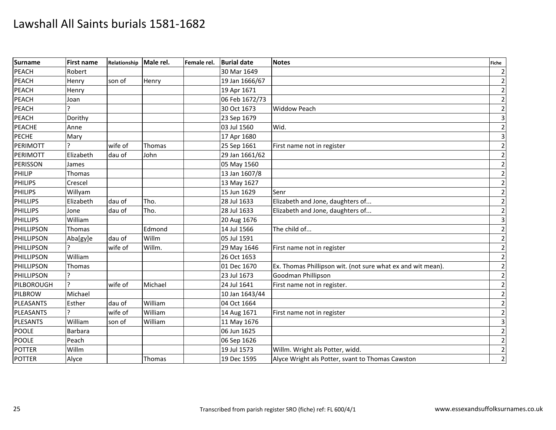| <b>Surname</b>  | <b>First name</b> | Relationship Male rel. |         | Female rel. | <b>Burial date</b> | <b>Notes</b>                                                | <b>Fiche</b>            |
|-----------------|-------------------|------------------------|---------|-------------|--------------------|-------------------------------------------------------------|-------------------------|
| PEACH           | Robert            |                        |         |             | 30 Mar 1649        |                                                             | $\overline{2}$          |
| PEACH           | Henry             | son of                 | Henry   |             | 19 Jan 1666/67     |                                                             | $\overline{2}$          |
| <b>PEACH</b>    | Henry             |                        |         |             | 19 Apr 1671        |                                                             | $\overline{2}$          |
| <b>PEACH</b>    | Joan              |                        |         |             | 06 Feb 1672/73     |                                                             | $\mathbf 2$             |
| PEACH           | C                 |                        |         |             | 30 Oct 1673        | <b>Widdow Peach</b>                                         | $\overline{2}$          |
| PEACH           | Dorithy           |                        |         |             | 23 Sep 1679        |                                                             | $\overline{\mathbf{3}}$ |
| PEACHE          | Anne              |                        |         |             | 03 Jul 1560        | Wid.                                                        | $\mathbf 2$             |
| <b>PECHE</b>    | Mary              |                        |         |             | 17 Apr 1680        |                                                             | $\overline{\mathbf{3}}$ |
| <b>PERIMOTT</b> |                   | wife of                | Thomas  |             | 25 Sep 1661        | First name not in register                                  | $\mathbf 2$             |
| PERIMOTT        | Elizabeth         | dau of                 | John    |             | 29 Jan 1661/62     |                                                             | $\overline{2}$          |
| <b>PERISSON</b> | James             |                        |         |             | 05 May 1560        |                                                             | $\mathbf 2$             |
| PHILIP          | Thomas            |                        |         |             | 13 Jan 1607/8      |                                                             | $\mathbf 2$             |
| <b>PHILIPS</b>  | Crescel           |                        |         |             | 13 May 1627        |                                                             | $\overline{2}$          |
| <b>PHILIPS</b>  | Willyam           |                        |         |             | 15 Jun 1629        | Senr                                                        | $\overline{2}$          |
| PHILLIPS        | Elizabeth         | dau of                 | Tho.    |             | 28 Jul 1633        | Elizabeth and Jone, daughters of                            | $\mathbf 2$             |
| <b>PHILLIPS</b> | Jone              | dau of                 | Tho.    |             | 28 Jul 1633        | Elizabeth and Jone, daughters of                            | $\overline{2}$          |
| PHILLIPS        | William           |                        |         |             | 20 Aug 1676        |                                                             | $\overline{\mathbf{3}}$ |
| PHILLIPSON      | Thomas            |                        | Edmond  |             | 14 Jul 1566        | The child of                                                | $\overline{2}$          |
| PHILLIPSON      | Aba[gy]e          | dau of                 | Willm   |             | 05 Jul 1591        |                                                             | $\mathbf 2$             |
| PHILLIPSON      | 2                 | wife of                | Willm.  |             | 29 May 1646        | First name not in register                                  | $\mathbf 2$             |
| PHILLIPSON      | William           |                        |         |             | 26 Oct 1653        |                                                             | $\overline{2}$          |
| PHILLIPSON      | Thomas            |                        |         |             | 01 Dec 1670        | Ex. Thomas Phillipson wit. (not sure what ex and wit mean). | $\overline{2}$          |
| PHILLIPSON      |                   |                        |         |             | 23 Jul 1673        | Goodman Phillipson                                          | $\mathbf 2$             |
| PILBOROUGH      | $\overline{a}$    | wife of                | Michael |             | 24 Jul 1641        | First name not in register.                                 | $\mathbf 2$             |
| <b>PILBROW</b>  | Michael           |                        |         |             | 10 Jan 1643/44     |                                                             | $\mathbf 2$             |
| PLEASANTS       | Esther            | dau of                 | William |             | 04 Oct 1664        |                                                             | $\mathbf{2}$            |
| PLEASANTS       |                   | wife of                | William |             | 14 Aug 1671        | First name not in register                                  | $\mathbf 2$             |
| <b>PLESANTS</b> | William           | son of                 | William |             | 11 May 1676        |                                                             | $\overline{\mathbf{3}}$ |
| <b>POOLE</b>    | <b>Barbara</b>    |                        |         |             | 06 Jun 1625        |                                                             | $\mathbf 2$             |
| <b>POOLE</b>    | Peach             |                        |         |             | 06 Sep 1626        |                                                             | $\mathbf{2}$            |
| <b>POTTER</b>   | Willm             |                        |         |             | 19 Jul 1573        | Willm. Wright als Potter, widd.                             | $\overline{2}$          |
| <b>POTTER</b>   | Alyce             |                        | Thomas  |             | 19 Dec 1595        | Alyce Wright als Potter, svant to Thomas Cawston            | $\overline{2}$          |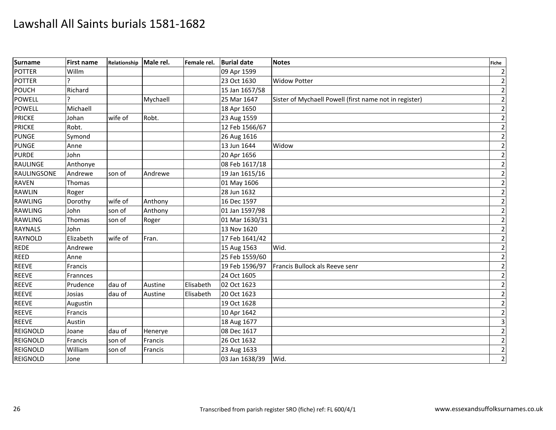| <b>Surname</b>  | <b>First name</b> | Relationship | Male rel. | Female rel. | <b>Burial date</b> | <b>Notes</b>                                           | <b>Fiche</b>            |
|-----------------|-------------------|--------------|-----------|-------------|--------------------|--------------------------------------------------------|-------------------------|
| <b>POTTER</b>   | Willm             |              |           |             | 09 Apr 1599        |                                                        | $\overline{2}$          |
| <b>POTTER</b>   |                   |              |           |             | 23 Oct 1630        | <b>Widow Potter</b>                                    | $\overline{2}$          |
| POUCH           | Richard           |              |           |             | 15 Jan 1657/58     |                                                        | $\overline{2}$          |
| <b>POWELL</b>   |                   |              | Mychaell  |             | 25 Mar 1647        | Sister of Mychaell Powell (first name not in register) | $\mathbf 2$             |
| <b>POWELL</b>   | Michaell          |              |           |             | 18 Apr 1650        |                                                        | $\mathbf{2}$            |
| <b>PRICKE</b>   | Johan             | wife of      | Robt.     |             | 23 Aug 1559        |                                                        | $\overline{2}$          |
| <b>PRICKE</b>   | Robt.             |              |           |             | 12 Feb 1566/67     |                                                        | $\overline{2}$          |
| <b>PUNGE</b>    | Symond            |              |           |             | 26 Aug 1616        |                                                        | $\mathbf 2$             |
| PUNGE           | Anne              |              |           |             | 13 Jun 1644        | Widow                                                  | $\mathbf{2}$            |
| <b>PURDE</b>    | John              |              |           |             | 20 Apr 1656        |                                                        | $\overline{2}$          |
| <b>RAULINGE</b> | Anthonye          |              |           |             | 08 Feb 1617/18     |                                                        | $\overline{2}$          |
| RAULINGSONE     | Andrewe           | son of       | Andrewe   |             | 19 Jan 1615/16     |                                                        | $\mathbf 2$             |
| <b>RAVEN</b>    | Thomas            |              |           |             | 01 May 1606        |                                                        | $\overline{2}$          |
| RAWLIN          | Roger             |              |           |             | 28 Jun 1632        |                                                        | $\mathbf 2$             |
| <b>RAWLING</b>  | Dorothy           | wife of      | Anthony   |             | 16 Dec 1597        |                                                        | $\overline{2}$          |
| <b>RAWLING</b>  | John              | son of       | Anthony   |             | 01 Jan 1597/98     |                                                        | $\overline{c}$          |
| <b>RAWLING</b>  | Thomas            | son of       | Roger     |             | 01 Mar 1630/31     |                                                        | $\overline{2}$          |
| <b>RAYNALS</b>  | John              |              |           |             | 13 Nov 1620        |                                                        | $\mathbf 2$             |
| RAYNOLD         | Elizabeth         | wife of      | Fran.     |             | 17 Feb 1641/42     |                                                        | $\overline{2}$          |
| <b>REDE</b>     | Andrewe           |              |           |             | 15 Aug 1563        | Wid.                                                   | $\mathbf 2$             |
| <b>REED</b>     | Anne              |              |           |             | 25 Feb 1559/60     |                                                        | $\overline{2}$          |
| <b>REEVE</b>    | Francis           |              |           |             | 19 Feb 1596/97     | Francis Bullock als Reeve senr                         | $\mathbf 2$             |
| <b>REEVE</b>    | Frannces          |              |           |             | 24 Oct 1605        |                                                        | $\overline{2}$          |
| <b>REEVE</b>    | Prudence          | dau of       | Austine   | Elisabeth   | 02 Oct 1623        |                                                        | $\mathbf 2$             |
| <b>REEVE</b>    | Josias            | dau of       | Austine   | Elisabeth   | 20 Oct 1623        |                                                        | $\overline{2}$          |
| <b>REEVE</b>    | Augustin          |              |           |             | 19 Oct 1628        |                                                        | $\mathbf 2$             |
| <b>REEVE</b>    | Francis           |              |           |             | 10 Apr 1642        |                                                        | $\overline{2}$          |
| <b>REEVE</b>    | Austin            |              |           |             | 18 Aug 1677        |                                                        | $\overline{\mathbf{3}}$ |
| REIGNOLD        | Joane             | dau of       | Henerye   |             | 08 Dec 1617        |                                                        | $\overline{2}$          |
| REIGNOLD        | Francis           | son of       | Francis   |             | 26 Oct 1632        |                                                        | $\mathbf 2$             |
| REIGNOLD        | William           | son of       | Francis   |             | 23 Aug 1633        |                                                        | $\overline{2}$          |
| <b>REIGNOLD</b> | Jone              |              |           |             | 03 Jan 1638/39     | Wid.                                                   | $\overline{2}$          |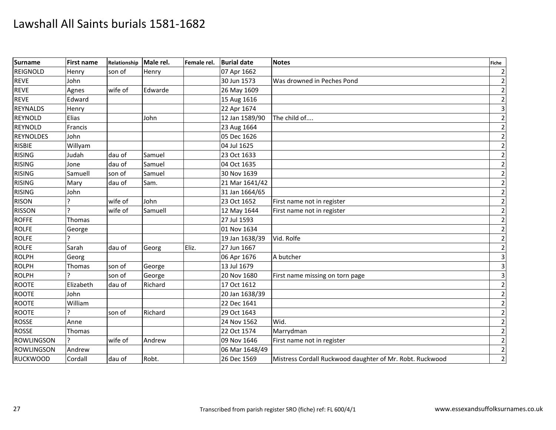| Surname           | <b>First name</b> | Relationship | Male rel. | Female rel. | <b>Burial date</b> | <b>Notes</b>                                             | <b>Fiche</b>            |
|-------------------|-------------------|--------------|-----------|-------------|--------------------|----------------------------------------------------------|-------------------------|
| REIGNOLD          | Henry             | son of       | Henry     |             | 07 Apr 1662        |                                                          | $\overline{2}$          |
| <b>REVE</b>       | John              |              |           |             | 30 Jun 1573        | Was drowned in Peches Pond                               | $\overline{2}$          |
| <b>REVE</b>       | Agnes             | wife of      | Edwarde   |             | 26 May 1609        |                                                          | $\mathbf 2$             |
| <b>REVE</b>       | Edward            |              |           |             | 15 Aug 1616        |                                                          | $\mathbf 2$             |
| <b>REYNALDS</b>   | Henry             |              |           |             | 22 Apr 1674        |                                                          | $\overline{3}$          |
| <b>REYNOLD</b>    | Elias             |              | John      |             | 12 Jan 1589/90     | The child of                                             | $\overline{2}$          |
| REYNOLD           | Francis           |              |           |             | 23 Aug 1664        |                                                          | $\overline{2}$          |
| <b>REYNOLDES</b>  | John              |              |           |             | 05 Dec 1626        |                                                          | $\overline{2}$          |
| <b>RISBIE</b>     | Willyam           |              |           |             | 04 Jul 1625        |                                                          | $\overline{2}$          |
| <b>RISING</b>     | Judah             | dau of       | Samuel    |             | 23 Oct 1633        |                                                          | $\mathbf{2}$            |
| <b>RISING</b>     | Jone              | dau of       | Samuel    |             | 04 Oct 1635        |                                                          | $\overline{2}$          |
| <b>RISING</b>     | Samuell           | son of       | Samuel    |             | 30 Nov 1639        |                                                          | $\mathbf 2$             |
| <b>RISING</b>     | Mary              | dau of       | Sam.      |             | 21 Mar 1641/42     |                                                          | $\overline{2}$          |
| <b>RISING</b>     | John              |              |           |             | 31 Jan 1664/65     |                                                          | $\overline{2}$          |
| <b>RISON</b>      |                   | wife of      | John      |             | 23 Oct 1652        | First name not in register                               | $\overline{2}$          |
| <b>RISSON</b>     |                   | wife of      | Samuell   |             | 12 May 1644        | First name not in register                               | $\overline{2}$          |
| <b>ROFFE</b>      | Thomas            |              |           |             | 27 Jul 1593        |                                                          | $\overline{2}$          |
| <b>ROLFE</b>      | George            |              |           |             | 01 Nov 1634        |                                                          | $\overline{2}$          |
| <b>ROLFE</b>      |                   |              |           |             | 19 Jan 1638/39     | Vid. Rolfe                                               | $\overline{2}$          |
| <b>ROLFE</b>      | Sarah             | dau of       | Georg     | Eliz.       | 27 Jun 1667        |                                                          | $\mathbf 2$             |
| <b>ROLPH</b>      | Georg             |              |           |             | 06 Apr 1676        | A butcher                                                | $\overline{\mathbf{3}}$ |
| <b>ROLPH</b>      | Thomas            | son of       | George    |             | 13 Jul 1679        |                                                          | $\overline{\mathbf{3}}$ |
| <b>ROLPH</b>      |                   | son of       | George    |             | 20 Nov 1680        | First name missing on torn page                          | $\overline{3}$          |
| <b>ROOTE</b>      | Elizabeth         | dau of       | Richard   |             | 17 Oct 1612        |                                                          | $\mathbf 2$             |
| <b>ROOTE</b>      | John              |              |           |             | 20 Jan 1638/39     |                                                          | $\mathbf 2$             |
| <b>ROOTE</b>      | William           |              |           |             | 22 Dec 1641        |                                                          | $\overline{2}$          |
| <b>ROOTE</b>      |                   | son of       | Richard   |             | 29 Oct 1643        |                                                          | $\overline{2}$          |
| <b>ROSSE</b>      | Anne              |              |           |             | 24 Nov 1562        | Wid.                                                     | $\mathbf 2$             |
| <b>ROSSE</b>      | Thomas            |              |           |             | 22 Oct 1574        | Marrydman                                                | $\mathbf 2$             |
| <b>ROWLINGSON</b> | $\overline{ }$    | wife of      | Andrew    |             | 09 Nov 1646        | First name not in register                               | $\overline{2}$          |
| <b>ROWLINGSON</b> | Andrew            |              |           |             | 06 Mar 1648/49     |                                                          | $\overline{2}$          |
| <b>RUCKWOOD</b>   | Cordall           | dau of       | Robt.     |             | 26 Dec 1569        | Mistress Cordall Ruckwood daughter of Mr. Robt. Ruckwood | $\overline{2}$          |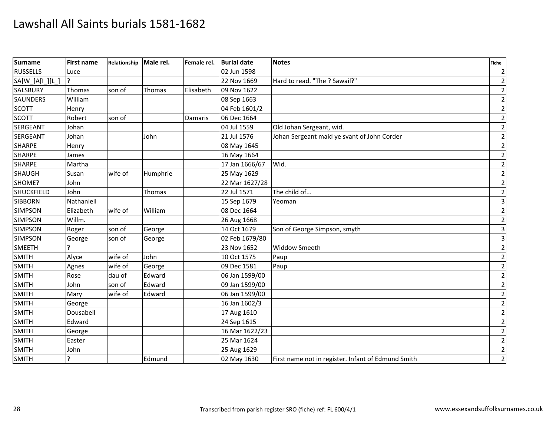| <b>Surname</b>    | <b>First name</b> | Relationship | Male rel. | Female rel. | <b>Burial date</b> | <b>Notes</b>                                       | <b>Fiche</b>            |
|-------------------|-------------------|--------------|-----------|-------------|--------------------|----------------------------------------------------|-------------------------|
| <b>RUSSELLS</b>   | Luce              |              |           |             | 02 Jun 1598        |                                                    | $\overline{2}$          |
| SA[W_]A[I_][L_    | <sub>?</sub>      |              |           |             | 22 Nov 1669        | Hard to read. "The ? Sawail?"                      | $\overline{2}$          |
| <b>SALSBURY</b>   | Thomas            | son of       | Thomas    | Elisabeth   | 09 Nov 1622        |                                                    | $\overline{2}$          |
| <b>SAUNDERS</b>   | William           |              |           |             | 08 Sep 1663        |                                                    | $\mathbf{2}$            |
| <b>SCOTT</b>      | Henry             |              |           |             | 04 Feb 1601/2      |                                                    | $\overline{2}$          |
| SCOTT             | Robert            | son of       |           | Damaris     | 06 Dec 1664        |                                                    | $\overline{2}$          |
| SERGEANT          | Johan             |              |           |             | 04 Jul 1559        | Old Johan Sergeant, wid.                           | $\overline{2}$          |
| <b>SERGEANT</b>   | Johan             |              | John      |             | 21 Jul 1576        | Johan Sergeant maid ye svant of John Corder        | $\mathbf 2$             |
| <b>SHARPE</b>     | Henry             |              |           |             | 08 May 1645        |                                                    | $\overline{2}$          |
| <b>SHARPE</b>     | James             |              |           |             | 16 May 1664        |                                                    | $\overline{2}$          |
| <b>SHARPE</b>     | Martha            |              |           |             | 17 Jan 1666/67     | Wid.                                               | $\mathbf 2$             |
| SHAUGH            | Susan             | wife of      | Humphrie  |             | 25 May 1629        |                                                    | $\mathbf 2$             |
| SHOME?            | John              |              |           |             | 22 Mar 1627/28     |                                                    | $\overline{2}$          |
| <b>SHUCKFIELD</b> | John              |              | Thomas    |             | 22 Jul 1571        | The child of                                       | $\overline{2}$          |
| <b>SIBBORN</b>    | Nathaniell        |              |           |             | 15 Sep 1679        | Yeoman                                             | $\overline{\mathbf{3}}$ |
| <b>SIMPSON</b>    | Elizabeth         | wife of      | William   |             | 08 Dec 1664        |                                                    | $\mathbf{2}$            |
| <b>SIMPSON</b>    | Willm.            |              |           |             | 26 Aug 1668        |                                                    | $\overline{2}$          |
| <b>SIMPSON</b>    | Roger             | son of       | George    |             | 14 Oct 1679        | Son of George Simpson, smyth                       | $\overline{3}$          |
| <b>SIMPSON</b>    | George            | son of       | George    |             | 02 Feb 1679/80     |                                                    | $\overline{\mathbf{3}}$ |
| <b>SMEETH</b>     |                   |              |           |             | 23 Nov 1652        | <b>Widdow Smeeth</b>                               | $\mathbf 2$             |
| <b>SMITH</b>      | Alyce             | wife of      | John      |             | 10 Oct 1575        | Paup                                               | $\overline{2}$          |
| <b>SMITH</b>      | Agnes             | wife of      | George    |             | 09 Dec 1581        | Paup                                               | $\overline{2}$          |
| <b>SMITH</b>      | Rose              | dau of       | Edward    |             | 06 Jan 1599/00     |                                                    | $\overline{2}$          |
| <b>SMITH</b>      | John              | son of       | Edward    |             | 09 Jan 1599/00     |                                                    | $\mathbf 2$             |
| SMITH             | Mary              | wife of      | Edward    |             | 06 Jan 1599/00     |                                                    | $\mathbf 2$             |
| SMITH             | George            |              |           |             | 16 Jan 1602/3      |                                                    | $\mathbf{2}$            |
| <b>SMITH</b>      | Dousabell         |              |           |             | 17 Aug 1610        |                                                    | $\overline{2}$          |
| <b>SMITH</b>      | Edward            |              |           |             | 24 Sep 1615        |                                                    | $\mathbf 2$             |
| <b>SMITH</b>      | George            |              |           |             | 16 Mar 1622/23     |                                                    | $\mathbf 2$             |
| <b>SMITH</b>      | Easter            |              |           |             | 25 Mar 1624        |                                                    | $\mathbf{2}$            |
| <b>SMITH</b>      | John              |              |           |             | 25 Aug 1629        |                                                    | $\overline{2}$          |
| <b>SMITH</b>      | ς                 |              | Edmund    |             | 02 May 1630        | First name not in register. Infant of Edmund Smith | $\overline{2}$          |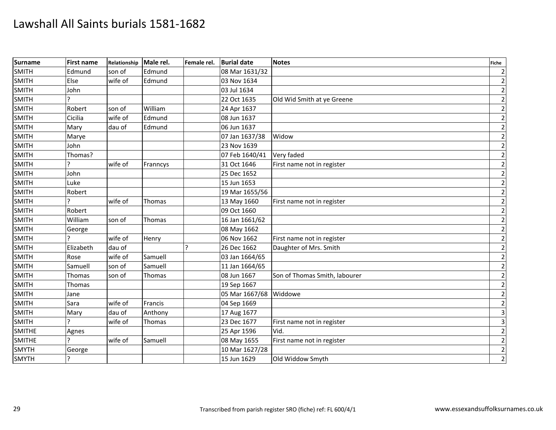| Surname       | <b>First name</b> | Relationship | Male rel.     | Female rel. | <b>Burial date</b> | <b>Notes</b>                  | <b>Fiche</b>            |
|---------------|-------------------|--------------|---------------|-------------|--------------------|-------------------------------|-------------------------|
| <b>SMITH</b>  | Edmund            | son of       | Edmund        |             | 08 Mar 1631/32     |                               | $\overline{2}$          |
| SMITH         | Else              | wife of      | Edmund        |             | 03 Nov 1634        |                               | $\overline{2}$          |
| <b>SMITH</b>  | John              |              |               |             | 03 Jul 1634        |                               | $\mathbf 2$             |
| <b>SMITH</b>  | ς                 |              |               |             | 22 Oct 1635        | Old Wid Smith at ye Greene    | $\mathbf 2$             |
| <b>SMITH</b>  | Robert            | son of       | William       |             | 24 Apr 1637        |                               | $\overline{2}$          |
| <b>SMITH</b>  | Cicilia           | wife of      | Edmund        |             | 08 Jun 1637        |                               | $\overline{2}$          |
| <b>SMITH</b>  | Mary              | dau of       | Edmund        |             | 06 Jun 1637        |                               | $\mathbf 2$             |
| <b>SMITH</b>  | Marye             |              |               |             | 07 Jan 1637/38     | Widow                         | $\overline{2}$          |
| <b>SMITH</b>  | John              |              |               |             | 23 Nov 1639        |                               | $\overline{2}$          |
| <b>SMITH</b>  | Thomas?           |              |               |             | 07 Feb 1640/41     | Very faded                    | $\mathbf{2}$            |
| <b>SMITH</b>  |                   | wife of      | Franncys      |             | 31 Oct 1646        | First name not in register    | $\mathbf 2$             |
| <b>SMITH</b>  | John              |              |               |             | 25 Dec 1652        |                               | $\overline{2}$          |
| <b>SMITH</b>  | Luke              |              |               |             | 15 Jun 1653        |                               | $\mathbf{2}$            |
| <b>SMITH</b>  | Robert            |              |               |             | 19 Mar 1655/56     |                               | $\mathbf{2}$            |
| <b>SMITH</b>  |                   | wife of      | <b>Thomas</b> |             | 13 May 1660        | First name not in register    | $\overline{2}$          |
| <b>SMITH</b>  | Robert            |              |               |             | 09 Oct 1660        |                               | $\mathbf 2$             |
| <b>SMITH</b>  | William           | son of       | <b>Thomas</b> |             | 16 Jan 1661/62     |                               | $\overline{2}$          |
| <b>SMITH</b>  | George            |              |               |             | 08 May 1662        |                               | $\mathbf{2}$            |
| <b>SMITH</b>  |                   | wife of      | Henry         |             | 06 Nov 1662        | First name not in register    | $\overline{2}$          |
| <b>SMITH</b>  | Elizabeth         | dau of       |               | ς           | 26 Dec 1662        | Daughter of Mrs. Smith        | $\mathbf 2$             |
| <b>SMITH</b>  | Rose              | wife of      | Samuell       |             | 03 Jan 1664/65     |                               | $\mathbf 2$             |
| <b>SMITH</b>  | Samuell           | son of       | Samuell       |             | 11 Jan 1664/65     |                               | $\mathbf{2}$            |
| <b>SMITH</b>  | Thomas            | son of       | Thomas        |             | 08 Jun 1667        | Son of Thomas Smith, labourer | $\overline{2}$          |
| <b>SMITH</b>  | Thomas            |              |               |             | 19 Sep 1667        |                               | $\mathbf 2$             |
| <b>SMITH</b>  | Jane              |              |               |             | 05 Mar 1667/68     | Widdowe                       | $\mathbf 2$             |
| <b>SMITH</b>  | Sara              | wife of      | Francis       |             | 04 Sep 1669        |                               | $\overline{2}$          |
| <b>SMITH</b>  | Mary              | dau of       | Anthony       |             | 17 Aug 1677        |                               | $\overline{3}$          |
| <b>SMITH</b>  |                   | wife of      | Thomas        |             | 23 Dec 1677        | First name not in register    | $\overline{\mathbf{3}}$ |
| <b>SMITHE</b> | Agnes             |              |               |             | 25 Apr 1596        | Vid.                          | $\mathbf 2$             |
| <b>SMITHE</b> |                   | wife of      | Samuell       |             | 08 May 1655        | First name not in register    | $\mathbf{2}$            |
| <b>SMYTH</b>  | George            |              |               |             | 10 Mar 1627/28     |                               | $\overline{2}$          |
| <b>SMYTH</b>  |                   |              |               |             | 15 Jun 1629        | Old Widdow Smyth              | $\overline{2}$          |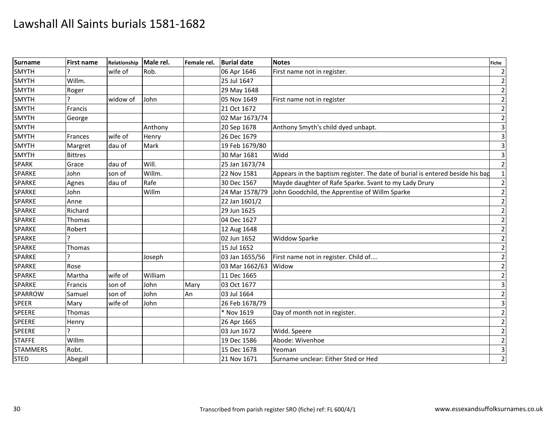| <b>Surname</b>  | <b>First name</b> | Relationship | Male rel. | Female rel. | <b>Burial date</b> | <b>Notes</b>                                                                  | <b>Fiche</b>            |
|-----------------|-------------------|--------------|-----------|-------------|--------------------|-------------------------------------------------------------------------------|-------------------------|
| SMYTH           |                   | wife of      | Rob.      |             | 06 Apr 1646        | First name not in register.                                                   |                         |
| <b>SMYTH</b>    | Willm.            |              |           |             | 25 Jul 1647        |                                                                               |                         |
| <b>SMYTH</b>    | Roger             |              |           |             | 29 May 1648        |                                                                               | $\overline{2}$          |
| <b>SMYTH</b>    | 2                 | widow of     | John      |             | 05 Nov 1649        | First name not in register                                                    | $\overline{2}$          |
| <b>SMYTH</b>    | Francis           |              |           |             | 21 Oct 1672        |                                                                               | $\overline{2}$          |
| SMYTH           | George            |              |           |             | 02 Mar 1673/74     |                                                                               | $\overline{2}$          |
| <b>SMYTH</b>    |                   |              | Anthony   |             | 20 Sep 1678        | Anthony Smyth's child dyed unbapt.                                            | 3                       |
| <b>SMYTH</b>    | Frances           | wife of      | Henry     |             | 26 Dec 1679        |                                                                               | $\overline{\mathbf{3}}$ |
| <b>SMYTH</b>    | Margret           | dau of       | Mark      |             | 19 Feb 1679/80     |                                                                               | 3                       |
| <b>SMYTH</b>    | <b>Bittres</b>    |              |           |             | 30 Mar 1681        | Widd                                                                          | $\overline{\mathbf{3}}$ |
| <b>SPARK</b>    | Grace             | dau of       | Will.     |             | 25 Jan 1673/74     |                                                                               | $\overline{2}$          |
| SPARKE          | John              | son of       | Willm.    |             | 22 Nov 1581        | Appears in the baptism register. The date of burial is entered beside his bap |                         |
| <b>SPARKE</b>   | Agnes             | dau of       | Rafe      |             | 30 Dec 1567        | Mayde daughter of Rafe Sparke. Svant to my Lady Drury                         | $\overline{2}$          |
| <b>SPARKE</b>   | John              |              | Willm     |             | 24 Mar 1578/79     | John Goodchild, the Apprentise of Willm Sparke                                | $\overline{2}$          |
| <b>SPARKE</b>   | Anne              |              |           |             | 22 Jan 1601/2      |                                                                               | $\overline{2}$          |
| <b>SPARKE</b>   | Richard           |              |           |             | 29 Jun 1625        |                                                                               | $\overline{2}$          |
| SPARKE          | Thomas            |              |           |             | 04 Dec 1627        |                                                                               | $\overline{2}$          |
| <b>SPARKE</b>   | Robert            |              |           |             | 12 Aug 1648        |                                                                               | $\overline{2}$          |
| <b>SPARKE</b>   |                   |              |           |             | 02 Jun 1652        | <b>Widdow Sparke</b>                                                          | $\overline{2}$          |
| <b>SPARKE</b>   | Thomas            |              |           |             | 15 Jul 1652        |                                                                               | $\overline{c}$          |
| SPARKE          | Ć                 |              | Joseph    |             | 03 Jan 1655/56     | First name not in register. Child of                                          | $\overline{2}$          |
| <b>SPARKE</b>   | Rose              |              |           |             | 03 Mar 1662/63     | Widow                                                                         | $\overline{2}$          |
| <b>SPARKE</b>   | Martha            | wife of      | William   |             | 11 Dec 1665        |                                                                               | $\overline{2}$          |
| <b>SPARKE</b>   | Francis           | son of       | John      | Mary        | 03 Oct 1677        |                                                                               | 3                       |
| SPARROW         | Samuel            | son of       | John      | An          | 03 Jul 1664        |                                                                               | $\overline{2}$          |
| <b>SPEER</b>    | Mary              | wife of      | John      |             | 26 Feb 1678/79     |                                                                               | 3                       |
| <b>SPEERE</b>   | Thomas            |              |           |             | * Nov 1619         | Day of month not in register.                                                 | $\overline{2}$          |
| <b>SPEERE</b>   | Henry             |              |           |             | 26 Apr 1665        |                                                                               | $\overline{2}$          |
| <b>SPEERE</b>   |                   |              |           |             | 03 Jun 1672        | Widd. Speere                                                                  | $\overline{2}$          |
| <b>STAFFE</b>   | Willm             |              |           |             | 19 Dec 1586        | Abode: Wivenhoe                                                               | $\overline{2}$          |
| <b>STAMMERS</b> | Robt.             |              |           |             | 15 Dec 1678        | Yeoman                                                                        | $\overline{\mathbf{3}}$ |
| <b>STED</b>     | Abegall           |              |           |             | 21 Nov 1671        | Surname unclear: Either Sted or Hed                                           | $\overline{2}$          |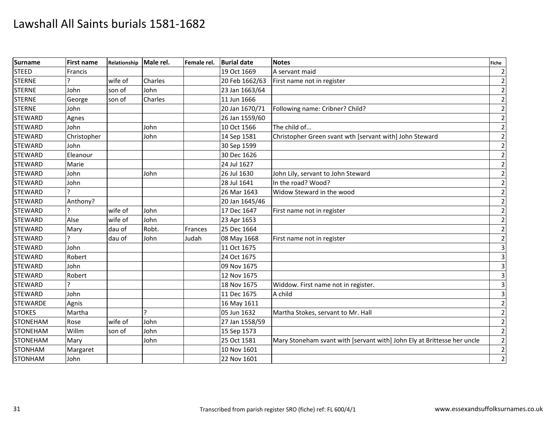| <b>Surname</b>  | <b>First name</b> | Relationship | Male rel. | Female rel. | <b>Burial date</b> | <b>Notes</b>                                                            | <b>Fiche</b>            |
|-----------------|-------------------|--------------|-----------|-------------|--------------------|-------------------------------------------------------------------------|-------------------------|
| <b>STEED</b>    | Francis           |              |           |             | 19 Oct 1669        | A servant maid                                                          | $\overline{2}$          |
| <b>STERNE</b>   |                   | wife of      | Charles   |             | 20 Feb 1662/63     | First name not in register                                              | $\overline{2}$          |
| <b>STERNE</b>   | John              | son of       | John      |             | 23 Jan 1663/64     |                                                                         | $\overline{2}$          |
| <b>STERNE</b>   | George            | son of       | Charles   |             | 11 Jun 1666        |                                                                         | $\overline{2}$          |
| <b>STERNE</b>   | John              |              |           |             | 20 Jan 1670/71     | Following name: Cribner? Child?                                         | $\mathbf{2}$            |
| <b>STEWARD</b>  | Agnes             |              |           |             | 26 Jan 1559/60     |                                                                         | $\overline{2}$          |
| <b>STEWARD</b>  | John              |              | John      |             | 10 Oct 1566        | The child of                                                            | $\overline{2}$          |
| <b>STEWARD</b>  | Christopher       |              | John      |             | 14 Sep 1581        | Christopher Green svant wth [servant with] John Steward                 | $\mathbf 2$             |
| <b>STEWARD</b>  | John              |              |           |             | 30 Sep 1599        |                                                                         | $\mathbf 2$             |
| <b>STEWARD</b>  | Eleanour          |              |           |             | 30 Dec 1626        |                                                                         | $\overline{2}$          |
| <b>STEWARD</b>  | Marie             |              |           |             | 24 Jul 1627        |                                                                         | $\mathbf 2$             |
| <b>STEWARD</b>  | John              |              | John      |             | 26 Jul 1630        | John Lily, servant to John Steward                                      | $\overline{2}$          |
| <b>STEWARD</b>  | John              |              |           |             | 28 Jul 1641        | In the road? Wood?                                                      | $\mathbf 2$             |
| <b>STEWARD</b>  |                   |              |           |             | 26 Mar 1643        | Widow Steward in the wood                                               | $\overline{2}$          |
| <b>STEWARD</b>  | Anthony?          |              |           |             | 20 Jan 1645/46     |                                                                         | $\overline{2}$          |
| <b>STEWARD</b>  |                   | wife of      | John      |             | 17 Dec 1647        | First name not in register                                              | $\mathbf 2$             |
| <b>STEWARD</b>  | Alse              | wife of      | John      |             | 23 Apr 1653        |                                                                         | $\overline{2}$          |
| <b>STEWARD</b>  | Mary              | dau of       | Robt.     | Frances     | 25 Dec 1664        |                                                                         | $\mathbf{2}$            |
| <b>STEWARD</b>  |                   | dau of       | John      | Judah       | 08 May 1668        | First name not in register                                              | $\mathbf{2}$            |
| <b>STEWARD</b>  | John              |              |           |             | 11 Oct 1675        |                                                                         | $\overline{3}$          |
| <b>STEWARD</b>  | Robert            |              |           |             | 24 Oct 1675        |                                                                         | $\overline{\mathbf{3}}$ |
| <b>STEWARD</b>  | John              |              |           |             | 09 Nov 1675        |                                                                         | $\overline{\mathbf{3}}$ |
| <b>STEWARD</b>  | Robert            |              |           |             | 12 Nov 1675        |                                                                         | $\overline{3}$          |
| <b>STEWARD</b>  |                   |              |           |             | 18 Nov 1675        | Widdow. First name not in register.                                     | $\mathbf{3}$            |
| <b>STEWARD</b>  | John              |              |           |             | 11 Dec 1675        | A child                                                                 | $\overline{\mathbf{3}}$ |
| <b>STEWARDE</b> | Agnis             |              |           |             | 16 May 1611        |                                                                         | $\overline{2}$          |
| <b>STOKES</b>   | Martha            |              | S.        |             | 05 Jun 1632        | Martha Stokes, servant to Mr. Hall                                      | $\overline{2}$          |
| <b>STONEHAM</b> | Rose              | wife of      | John      |             | 27 Jan 1558/59     |                                                                         | $\overline{2}$          |
| <b>STONEHAM</b> | Willm             | son of       | John      |             | 15 Sep 1573        |                                                                         | $\overline{2}$          |
| <b>STONEHAM</b> | Mary              |              | John      |             | 25 Oct 1581        | Mary Stoneham svant with [servant with] John Ely at Brittesse her uncle | $\overline{2}$          |
| <b>STONHAM</b>  | Margaret          |              |           |             | 10 Nov 1601        |                                                                         | $\mathbf 2$             |
| <b>STONHAM</b>  | John              |              |           |             | 22 Nov 1601        |                                                                         | $\overline{2}$          |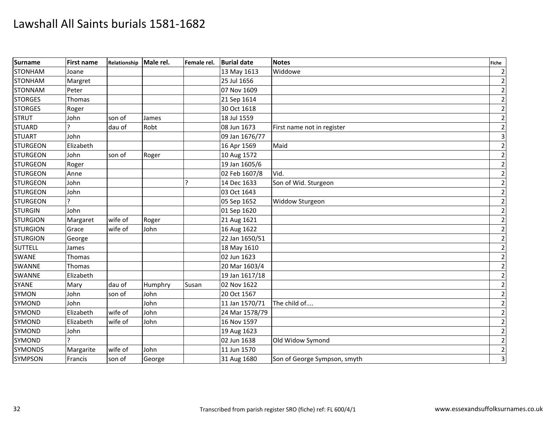| <b>Surname</b>  | <b>First name</b> | Relationship | Male rel. | Female rel. | <b>Burial date</b> | <b>Notes</b>                 | <b>Fiche</b>            |
|-----------------|-------------------|--------------|-----------|-------------|--------------------|------------------------------|-------------------------|
| <b>STONHAM</b>  | Joane             |              |           |             | 13 May 1613        | Widdowe                      | $\overline{2}$          |
| <b>STONHAM</b>  | Margret           |              |           |             | 25 Jul 1656        |                              | $\overline{2}$          |
| <b>STONNAM</b>  | Peter             |              |           |             | 07 Nov 1609        |                              | $\mathbf 2$             |
| <b>STORGES</b>  | Thomas            |              |           |             | 21 Sep 1614        |                              | $\mathbf 2$             |
| <b>STORGES</b>  | Roger             |              |           |             | 30 Oct 1618        |                              | $\mathbf 2$             |
| <b>STRUT</b>    | John              | son of       | James     |             | 18 Jul 1559        |                              | $\mathbf 2$             |
| <b>STUARD</b>   |                   | dau of       | Robt      |             | 08 Jun 1673        | First name not in register   | $\overline{2}$          |
| <b>STUART</b>   | John              |              |           |             | 09 Jan 1676/77     |                              | $\overline{\mathbf{3}}$ |
| <b>STURGEON</b> | Elizabeth         |              |           |             | 16 Apr 1569        | Maid                         | $\mathbf 2$             |
| <b>STURGEON</b> | John              | son of       | Roger     |             | 10 Aug 1572        |                              | $\mathbf 2$             |
| <b>STURGEON</b> | Roger             |              |           |             | 19 Jan 1605/6      |                              | $\mathbf 2$             |
| <b>STURGEON</b> | Anne              |              |           |             | 02 Feb 1607/8      | Vid.                         | $\overline{2}$          |
| <b>STURGEON</b> | John              |              |           | ?           | 14 Dec 1633        | Son of Wid. Sturgeon         | $\overline{2}$          |
| <b>STURGEON</b> | John              |              |           |             | 03 Oct 1643        |                              | $\mathbf 2$             |
| <b>STURGEON</b> |                   |              |           |             | 05 Sep 1652        | Widdow Sturgeon              | $\overline{2}$          |
| <b>STURGIN</b>  | John              |              |           |             | 01 Sep 1620        |                              | $\overline{c}$          |
| <b>STURGION</b> | Margaret          | wife of      | Roger     |             | 21 Aug 1621        |                              | $\mathbf 2$             |
| <b>STURGION</b> | Grace             | wife of      | John      |             | 16 Aug 1622        |                              | $\mathbf 2$             |
| <b>STURGION</b> | George            |              |           |             | 22 Jan 1650/51     |                              | $\overline{2}$          |
| <b>SUTTELL</b>  | James             |              |           |             | 18 May 1610        |                              | $\mathbf 2$             |
| <b>SWANE</b>    | Thomas            |              |           |             | 02 Jun 1623        |                              | $\mathbf{2}$            |
| SWANNE          | Thomas            |              |           |             | 20 Mar 1603/4      |                              | $\overline{c}$          |
| <b>SWANNE</b>   | Elizabeth         |              |           |             | 19 Jan 1617/18     |                              | $\overline{2}$          |
| <b>SYANE</b>    | Mary              | dau of       | Humphry   | Susan       | 02 Nov 1622        |                              | $\mathbf 2$             |
| <b>SYMON</b>    | John              | son of       | John      |             | 20 Oct 1567        |                              | $\mathbf 2$             |
| <b>SYMOND</b>   | John              |              | John      |             | 11 Jan 1570/71     | The child of                 | $\mathbf 2$             |
| SYMOND          | Elizabeth         | wife of      | John      |             | 24 Mar 1578/79     |                              | $\overline{2}$          |
| <b>SYMOND</b>   | Elizabeth         | wife of      | John      |             | 16 Nov 1597        |                              | $\mathbf 2$             |
| SYMOND          | John              |              |           |             | 19 Aug 1623        |                              | $\overline{c}$          |
| <b>SYMOND</b>   |                   |              |           |             | 02 Jun 1638        | Old Widow Symond             | $\overline{2}$          |
| <b>SYMONDS</b>  | Margarite         | wife of      | John      |             | 11 Jun 1570        |                              | $\overline{2}$          |
| <b>SYMPSON</b>  | Francis           | son of       | George    |             | 31 Aug 1680        | Son of George Sympson, smyth | $\overline{\mathbf{3}}$ |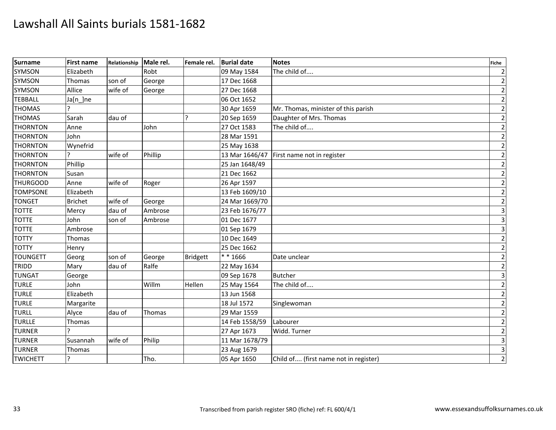| <b>Surname</b>  | <b>First name</b> | Relationship | Male rel. | Female rel.     | <b>Burial date</b> | <b>Notes</b>                          | <b>Fiche</b>            |
|-----------------|-------------------|--------------|-----------|-----------------|--------------------|---------------------------------------|-------------------------|
| SYMSON          | Elizabeth         |              | Robt      |                 | 09 May 1584        | The child of                          | $\overline{2}$          |
| <b>SYMSON</b>   | <b>Thomas</b>     | son of       | George    |                 | 17 Dec 1668        |                                       | $\overline{2}$          |
| <b>SYMSON</b>   | Allice            | wife of      | George    |                 | 27 Dec 1668        |                                       | $\overline{2}$          |
| <b>TEBBALL</b>  | Ja[n_]ne          |              |           |                 | 06 Oct 1652        |                                       | $\overline{2}$          |
| <b>THOMAS</b>   |                   |              |           |                 | 30 Apr 1659        | Mr. Thomas, minister of this parish   | $\mathbf{2}$            |
| <b>THOMAS</b>   | Sarah             | dau of       |           | $\mathbf{P}$    | 20 Sep 1659        | Daughter of Mrs. Thomas               | $\mathbf 2$             |
| <b>THORNTON</b> | Anne              |              | John      |                 | 27 Oct 1583        | The child of                          | $\overline{2}$          |
| <b>THORNTON</b> | John              |              |           |                 | 28 Mar 1591        |                                       | $\mathbf 2$             |
| <b>THORNTON</b> | Wynefrid          |              |           |                 | 25 May 1638        |                                       | $\mathbf{2}$            |
| <b>THORNTON</b> |                   | wife of      | Phillip   |                 | 13 Mar 1646/47     | First name not in register            | $\overline{2}$          |
| <b>THORNTON</b> | Phillip           |              |           |                 | 25 Jan 1648/49     |                                       | $\mathbf 2$             |
| <b>THORNTON</b> | Susan             |              |           |                 | 21 Dec 1662        |                                       | $\mathbf 2$             |
| <b>THURGOOD</b> | Anne              | wife of      | Roger     |                 | 26 Apr 1597        |                                       | $\mathbf{2}$            |
| <b>TOMPSONE</b> | Elizabeth         |              |           |                 | 13 Feb 1609/10     |                                       | $\mathbf 2$             |
| <b>TONGET</b>   | <b>Brichet</b>    | wife of      | George    |                 | 24 Mar 1669/70     |                                       | $\mathbf 2$             |
| <b>TOTTE</b>    | Mercy             | dau of       | Ambrose   |                 | 23 Feb 1676/77     |                                       | $\overline{3}$          |
| <b>TOTTE</b>    | John              | son of       | Ambrose   |                 | 01 Dec 1677        |                                       | $\overline{3}$          |
| <b>TOTTE</b>    | Ambrose           |              |           |                 | 01 Sep 1679        |                                       | $\overline{3}$          |
| <b>TOTTY</b>    | Thomas            |              |           |                 | 10 Dec 1649        |                                       | $\mathbf 2$             |
| <b>TOTTY</b>    | Henry             |              |           |                 | 25 Dec 1662        |                                       | $\mathbf 2$             |
| <b>TOUNGETT</b> | Georg             | son of       | George    | <b>Bridgett</b> | ** 1666            | Date unclear                          | $\overline{2}$          |
| TRIDD           | Mary              | dau of       | Ralfe     |                 | 22 May 1634        |                                       | $\mathbf 2$             |
| <b>TUNGAT</b>   | George            |              |           |                 | 09 Sep 1678        | <b>Butcher</b>                        | $\overline{\mathbf{3}}$ |
| <b>TURLE</b>    | John              |              | Willm     | Hellen          | 25 May 1564        | The child of                          | $\mathbf 2$             |
| <b>TURLE</b>    | Elizabeth         |              |           |                 | 13 Jun 1568        |                                       | $\mathbf 2$             |
| <b>TURLE</b>    | Margarite         |              |           |                 | 18 Jul 1572        | Singlewoman                           | $\overline{2}$          |
| <b>TURLL</b>    | Alyce             | dau of       | Thomas    |                 | 29 Mar 1559        |                                       | $\mathbf 2$             |
| <b>TURLLE</b>   | Thomas            |              |           |                 | 14 Feb 1558/59     | Labourer                              | $\mathbf 2$             |
| <b>TURNER</b>   |                   |              |           |                 | 27 Apr 1673        | Widd. Turner                          | $\overline{2}$          |
| <b>TURNER</b>   | Susannah          | wife of      | Philip    |                 | 11 Mar 1678/79     |                                       | $\overline{3}$          |
| <b>TURNER</b>   | Thomas            |              |           |                 | 23 Aug 1679        |                                       | $\overline{\mathbf{3}}$ |
| <b>TWICHETT</b> | ?                 |              | Tho.      |                 | 05 Apr 1650        | Child of (first name not in register) | $\overline{2}$          |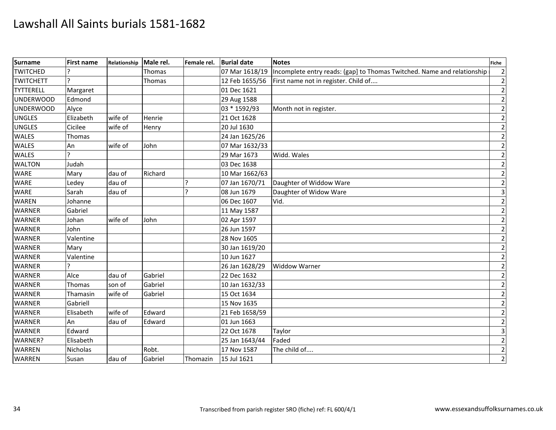| <b>Surname</b>   | <b>First name</b> | Relationship | Male rel. | Female rel. | <b>Burial date</b> | <b>Notes</b>                                                            | <b>Fiche</b> |
|------------------|-------------------|--------------|-----------|-------------|--------------------|-------------------------------------------------------------------------|--------------|
| <b>TWITCHED</b>  |                   |              | Thomas    |             | 07 Mar 1618/19     | Incomplete entry reads: (gap) to Thomas Twitched. Name and relationship |              |
| <b>TWITCHETT</b> |                   |              | Thomas    |             | 12 Feb 1655/56     | First name not in register. Child of                                    |              |
| <b>TYTTERELL</b> | Margaret          |              |           |             | 01 Dec 1621        |                                                                         |              |
| <b>UNDERWOOD</b> | Edmond            |              |           |             | 29 Aug 1588        |                                                                         |              |
| <b>UNDERWOOD</b> | Alyce             |              |           |             | 03 * 1592/93       | Month not in register.                                                  |              |
| <b>UNGLES</b>    | Elizabeth         | wife of      | Henrie    |             | 21 Oct 1628        |                                                                         |              |
| <b>UNGLES</b>    | Cicilee           | wife of      | Henry     |             | 20 Jul 1630        |                                                                         |              |
| <b>WALES</b>     | Thomas            |              |           |             | 24 Jan 1625/26     |                                                                         |              |
| <b>WALES</b>     | An                | wife of      | John      |             | 07 Mar 1632/33     |                                                                         |              |
| <b>WALES</b>     |                   |              |           |             | 29 Mar 1673        | Widd. Wales                                                             |              |
| <b>WALTON</b>    | Judah             |              |           |             | 03 Dec 1638        |                                                                         |              |
| <b>WARE</b>      | Mary              | dau of       | Richard   |             | 10 Mar 1662/63     |                                                                         |              |
| <b>WARE</b>      | Ledey             | dau of       |           |             | 07 Jan 1670/71     | Daughter of Widdow Ware                                                 |              |
| <b>WARE</b>      | Sarah             | dau of       |           |             | 08 Jun 1679        | Daughter of Widow Ware                                                  |              |
| <b>WAREN</b>     | Johanne           |              |           |             | 06 Dec 1607        | Vid.                                                                    |              |
| <b>WARNER</b>    | Gabriel           |              |           |             | 11 May 1587        |                                                                         |              |
| <b>WARNER</b>    | Johan             | wife of      | John      |             | 02 Apr 1597        |                                                                         |              |
| <b>WARNER</b>    | John              |              |           |             | 26 Jun 1597        |                                                                         |              |
| <b>WARNER</b>    | Valentine         |              |           |             | 28 Nov 1605        |                                                                         |              |
| <b>WARNER</b>    | Mary              |              |           |             | 30 Jan 1619/20     |                                                                         |              |
| <b>WARNER</b>    | Valentine         |              |           |             | 10 Jun 1627        |                                                                         |              |
| <b>WARNER</b>    |                   |              |           |             | 26 Jan 1628/29     | <b>Widdow Warner</b>                                                    |              |
| <b>WARNER</b>    | Alce              | dau of       | Gabriel   |             | 22 Dec 1632        |                                                                         |              |
| <b>WARNER</b>    | Thomas            | son of       | Gabriel   |             | 10 Jan 1632/33     |                                                                         |              |
| <b>WARNER</b>    | Thamasin          | wife of      | Gabriel   |             | 15 Oct 1634        |                                                                         |              |
| <b>WARNER</b>    | Gabriell          |              |           |             | 15 Nov 1635        |                                                                         |              |
| <b>WARNER</b>    | Elisabeth         | wife of      | Edward    |             | 21 Feb 1658/59     |                                                                         |              |
| <b>WARNER</b>    | An                | dau of       | Edward    |             | 01 Jun 1663        |                                                                         |              |
| <b>WARNER</b>    | Edward            |              |           |             | 22 Oct 1678        | Taylor                                                                  |              |
| WARNER?          | Elisabeth         |              |           |             | 25 Jan 1643/44     | Faded                                                                   |              |
| <b>WARREN</b>    | <b>Nicholas</b>   |              | Robt.     |             | 17 Nov 1587        | The child of                                                            |              |
| <b>WARREN</b>    | Susan             | dau of       | Gabriel   | Thomazin    | 15 Jul 1621        |                                                                         |              |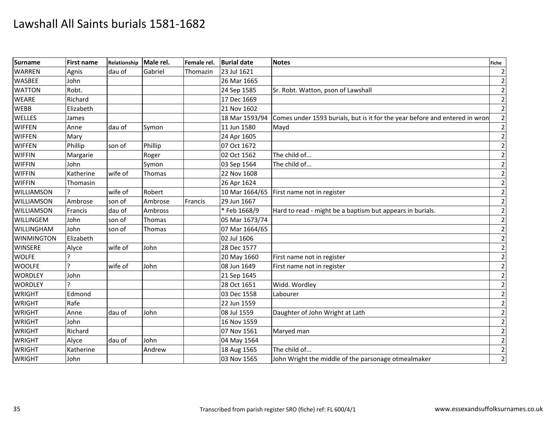| <b>Surname</b>    | <b>First name</b> | Relationship Male rel. |         | Female rel. | <b>Burial date</b> | <b>Notes</b>                                                                | <b>Fiche</b> |
|-------------------|-------------------|------------------------|---------|-------------|--------------------|-----------------------------------------------------------------------------|--------------|
| <b>WARREN</b>     | Agnis             | dau of                 | Gabriel | Thomazin    | 23 Jul 1621        |                                                                             |              |
| <b>WASBEE</b>     | John              |                        |         |             | 26 Mar 1665        |                                                                             |              |
| <b>WATTON</b>     | Robt.             |                        |         |             | 24 Sep 1585        | Sr. Robt. Watton, pson of Lawshall                                          |              |
| <b>WEARE</b>      | Richard           |                        |         |             | 17 Dec 1669        |                                                                             |              |
| <b>WEBB</b>       | Elizabeth         |                        |         |             | 21 Nov 1602        |                                                                             |              |
| <b>WELLES</b>     | James             |                        |         |             | 18 Mar 1593/94     | Comes under 1593 burials, but is it for the year before and entered in wron |              |
| <b>WIFFEN</b>     | Anne              | dau of                 | Symon   |             | 11 Jun 1580        | Mayd                                                                        |              |
| <b>WIFFEN</b>     | Mary              |                        |         |             | 24 Apr 1605        |                                                                             |              |
| <b>WIFFEN</b>     | Phillip           | son of                 | Phillip |             | 07 Oct 1672        |                                                                             |              |
| <b>WIFFIN</b>     | Margarie          |                        | Roger   |             | 02 Oct 1562        | The child of                                                                |              |
| <b>WIFFIN</b>     | John              |                        | Symon   |             | 03 Sep 1564        | The child of                                                                |              |
| <b>WIFFIN</b>     | Katherine         | wife of                | Thomas  |             | 22 Nov 1608        |                                                                             |              |
| <b>WIFFIN</b>     | Thomasin          |                        |         |             | 26 Apr 1624        |                                                                             |              |
| WILLIAMSON        | 12                | wife of                | Robert  |             |                    | 10 Mar 1664/65 First name not in register                                   |              |
| WILLIAMSON        | Ambrose           | son of                 | Ambrose | Francis     | 29 Jun 1667        |                                                                             |              |
| WILLIAMSON        | Francis           | dau of                 | Ambross |             | * Feb 1668/9       | Hard to read - might be a baptism but appears in burials.                   |              |
| WILLINGEM         | John              | son of                 | Thomas  |             | 05 Mar 1673/74     |                                                                             |              |
| WILLINGHAM        | John              | son of                 | Thomas  |             | 07 Mar 1664/65     |                                                                             |              |
| <b>WINMINGTON</b> | Elizabeth         |                        |         |             | 02 Jul 1606        |                                                                             |              |
| <b>WINSERE</b>    | Alyce             | wife of                | John    |             | 28 Dec 1577        |                                                                             |              |
| <b>WOLFE</b>      |                   |                        |         |             | 20 May 1660        | First name not in register                                                  |              |
| <b>WOOLFE</b>     | I٦                | wife of                | John    |             | 08 Jun 1649        | First name not in register                                                  |              |
| <b>WORDLEY</b>    | John              |                        |         |             | 21 Sep 1645        |                                                                             |              |
| <b>WORDLEY</b>    | l C               |                        |         |             | 28 Oct 1651        | Widd. Wordley                                                               |              |
| <b>WRIGHT</b>     | Edmond            |                        |         |             | 03 Dec 1558        | Labourer                                                                    |              |
| <b>WRIGHT</b>     | Rafe              |                        |         |             | 22 Jun 1559        |                                                                             |              |
| <b>WRIGHT</b>     | Anne              | dau of                 | John    |             | 08 Jul 1559        | Daughter of John Wright at Lath                                             |              |
| <b>WRIGHT</b>     | John              |                        |         |             | 16 Nov 1559        |                                                                             |              |
| <b>WRIGHT</b>     | Richard           |                        |         |             | 07 Nov 1561        | Maryed man                                                                  |              |
| <b>WRIGHT</b>     | Alyce             | dau of                 | John    |             | 04 May 1564        |                                                                             |              |
| <b>WRIGHT</b>     | Katherine         |                        | Andrew  |             | 18 Aug 1565        | The child of                                                                |              |
| <b>WRIGHT</b>     | John              |                        |         |             | 03 Nov 1565        | John Wright the middle of the parsonage otmealmaker                         |              |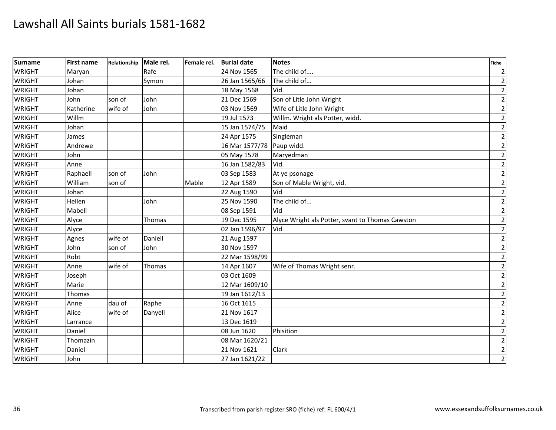| Surname       | <b>First name</b> | Relationship | Male rel. | Female rel. | <b>Burial date</b> | <b>Notes</b>                                     | <b>Fiche</b>   |
|---------------|-------------------|--------------|-----------|-------------|--------------------|--------------------------------------------------|----------------|
| <b>WRIGHT</b> | Maryan            |              | Rafe      |             | 24 Nov 1565        | The child of                                     | $\mathbf{2}$   |
| <b>WRIGHT</b> | Johan             |              | Symon     |             | 26 Jan 1565/66     | The child of                                     | $\mathbf 2$    |
| <b>WRIGHT</b> | Johan             |              |           |             | 18 May 1568        | Vid.                                             | $\mathbf 2$    |
| <b>WRIGHT</b> | John              | son of       | John      |             | 21 Dec 1569        | Son of Litle John Wright                         | $\overline{2}$ |
| <b>WRIGHT</b> | Katherine         | wife of      | John      |             | 03 Nov 1569        | Wife of Litle John Wright                        | $\overline{2}$ |
| <b>WRIGHT</b> | Willm             |              |           |             | 19 Jul 1573        | Willm. Wright als Potter, widd.                  | $\mathbf 2$    |
| <b>WRIGHT</b> | Johan             |              |           |             | 15 Jan 1574/75     | Maid                                             | $\overline{2}$ |
| <b>WRIGHT</b> | James             |              |           |             | 24 Apr 1575        | Singleman                                        | $\mathbf 2$    |
| <b>WRIGHT</b> | Andrewe           |              |           |             | 16 Mar 1577/78     | Paup widd.                                       | $\mathbf 2$    |
| <b>WRIGHT</b> | John              |              |           |             | 05 May 1578        | Maryedman                                        | $\mathbf 2$    |
| <b>WRIGHT</b> | Anne              |              |           |             | 16 Jan 1582/83     | Vid.                                             | $\overline{2}$ |
| <b>WRIGHT</b> | Raphaell          | son of       | John      |             | 03 Sep 1583        | At ye psonage                                    | $\overline{2}$ |
| <b>WRIGHT</b> | William           | son of       |           | Mable       | 12 Apr 1589        | Son of Mable Wright, vid.                        | $\overline{2}$ |
| <b>WRIGHT</b> | Johan             |              |           |             | 22 Aug 1590        | Vid                                              | $\mathbf 2$    |
| <b>WRIGHT</b> | Hellen            |              | John      |             | 25 Nov 1590        | The child of                                     | $\mathbf 2$    |
| <b>WRIGHT</b> | Mabell            |              |           |             | 08 Sep 1591        | Vid                                              | $\mathbf 2$    |
| <b>WRIGHT</b> | Alyce             |              | Thomas    |             | 19 Dec 1595        | Alyce Wright als Potter, svant to Thomas Cawston | $\overline{2}$ |
| <b>WRIGHT</b> | Alyce             |              |           |             | 02 Jan 1596/97     | Vid.                                             | $\mathbf 2$    |
| <b>WRIGHT</b> | Agnes             | wife of      | Daniell   |             | 21 Aug 1597        |                                                  | $\mathbf 2$    |
| <b>WRIGHT</b> | John              | son of       | John      |             | 30 Nov 1597        |                                                  | $\overline{2}$ |
| <b>WRIGHT</b> | Robt              |              |           |             | 22 Mar 1598/99     |                                                  | $\overline{2}$ |
| <b>WRIGHT</b> | Anne              | wife of      | Thomas    |             | 14 Apr 1607        | Wife of Thomas Wright senr.                      | $\overline{2}$ |
| <b>WRIGHT</b> | Joseph            |              |           |             | 03 Oct 1609        |                                                  | $\overline{2}$ |
| <b>WRIGHT</b> | Marie             |              |           |             | 12 Mar 1609/10     |                                                  | $\mathbf 2$    |
| <b>WRIGHT</b> | Thomas            |              |           |             | 19 Jan 1612/13     |                                                  | $\overline{2}$ |
| <b>WRIGHT</b> | Anne              | dau of       | Raphe     |             | 16 Oct 1615        |                                                  | $\overline{2}$ |
| <b>WRIGHT</b> | Alice             | wife of      | Danyell   |             | 21 Nov 1617        |                                                  | $\mathbf 2$    |
| <b>WRIGHT</b> | Larrance          |              |           |             | 13 Dec 1619        |                                                  | $\overline{2}$ |
| <b>WRIGHT</b> | Daniel            |              |           |             | 08 Jun 1620        | Phisition                                        | $\mathbf 2$    |
| <b>WRIGHT</b> | Thomazin          |              |           |             | 08 Mar 1620/21     |                                                  | $\mathbf{2}$   |
| <b>WRIGHT</b> | Daniel            |              |           |             | 21 Nov 1621        | Clark                                            | $\overline{2}$ |
| <b>WRIGHT</b> | John              |              |           |             | 27 Jan 1621/22     |                                                  | $\overline{2}$ |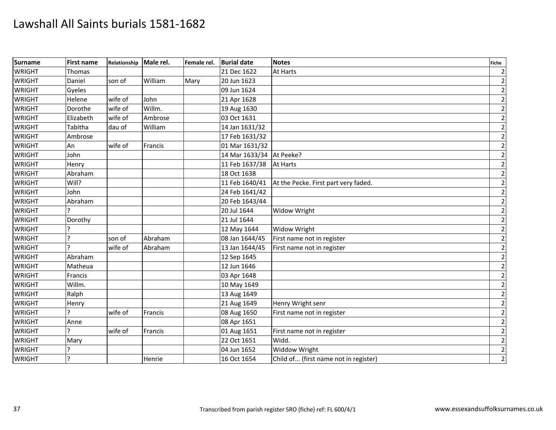| <b>Surname</b> | <b>First name</b> | Relationship | Male rel. | Female rel. | <b>Burial date</b> | <b>Notes</b>                          | <b>Fiche</b>   |
|----------------|-------------------|--------------|-----------|-------------|--------------------|---------------------------------------|----------------|
| <b>WRIGHT</b>  | Thomas            |              |           |             | 21 Dec 1622        | At Harts                              | $\overline{2}$ |
| <b>WRIGHT</b>  | Daniel            | son of       | William   | Mary        | 20 Jun 1623        |                                       | $\overline{2}$ |
| <b>WRIGHT</b>  | Gyeles            |              |           |             | 09 Jun 1624        |                                       | $\mathbf 2$    |
| <b>WRIGHT</b>  | Helene            | wife of      | John      |             | 21 Apr 1628        |                                       | $\mathbf 2$    |
| <b>WRIGHT</b>  | Dorothe           | wife of      | Willm.    |             | 19 Aug 1630        |                                       | $\mathbf{2}$   |
| <b>WRIGHT</b>  | Elizabeth         | wife of      | Ambrose   |             | 03 Oct 1631        |                                       | $\mathbf 2$    |
| <b>WRIGHT</b>  | Tabitha           | dau of       | William   |             | 14 Jan 1631/32     |                                       | $\mathbf 2$    |
| <b>WRIGHT</b>  | Ambrose           |              |           |             | 17 Feb 1631/32     |                                       | $\overline{2}$ |
| <b>WRIGHT</b>  | An                | wife of      | Francis   |             | 01 Mar 1631/32     |                                       | $\mathbf{2}$   |
| <b>WRIGHT</b>  | John              |              |           |             | 14 Mar 1633/34     | At Peeke?                             | $\overline{2}$ |
| <b>WRIGHT</b>  | Henry             |              |           |             | 11 Feb 1637/38     | <b>At Harts</b>                       | $\mathbf 2$    |
| <b>WRIGHT</b>  | Abraham           |              |           |             | 18 Oct 1638        |                                       | $\overline{2}$ |
| <b>WRIGHT</b>  | Will?             |              |           |             | 11 Feb 1640/41     | At the Pecke. First part very faded.  | $\mathbf{2}$   |
| <b>WRIGHT</b>  | John              |              |           |             | 24 Feb 1641/42     |                                       | $\overline{2}$ |
| <b>WRIGHT</b>  | Abraham           |              |           |             | 20 Feb 1643/44     |                                       | $\mathbf 2$    |
| <b>WRIGHT</b>  |                   |              |           |             | 20 Jul 1644        | Widow Wright                          | $\overline{2}$ |
| <b>WRIGHT</b>  | Dorothy           |              |           |             | 21 Jul 1644        |                                       | $\overline{2}$ |
| <b>WRIGHT</b>  |                   |              |           |             | 12 May 1644        | <b>Widow Wright</b>                   | $\overline{2}$ |
| <b>WRIGHT</b>  | ς                 | son of       | Abraham   |             | 08 Jan 1644/45     | First name not in register            | $\mathbf 2$    |
| <b>WRIGHT</b>  | $\mathbf{P}$      | wife of      | Abraham   |             | 13 Jan 1644/45     | First name not in register            | $\overline{2}$ |
| <b>WRIGHT</b>  | Abraham           |              |           |             | 12 Sep 1645        |                                       | $\overline{2}$ |
| <b>WRIGHT</b>  | Matheua           |              |           |             | 12 Jun 1646        |                                       | $\mathbf 2$    |
| <b>WRIGHT</b>  | Francis           |              |           |             | 03 Apr 1648        |                                       | $\mathbf 2$    |
| <b>WRIGHT</b>  | Willm.            |              |           |             | 10 May 1649        |                                       | $\overline{2}$ |
| <b>WRIGHT</b>  | Ralph             |              |           |             | 13 Aug 1649        |                                       | $\overline{2}$ |
| <b>WRIGHT</b>  | Henry             |              |           |             | 21 Aug 1649        | Henry Wright senr                     | $\overline{2}$ |
| <b>WRIGHT</b>  |                   | wife of      | Francis   |             | 08 Aug 1650        | First name not in register            | $\mathbf 2$    |
| <b>WRIGHT</b>  | Anne              |              |           |             | 08 Apr 1651        |                                       | $\mathbf 2$    |
| <b>WRIGHT</b>  | C                 | wife of      | Francis   |             | 01 Aug 1651        | First name not in register            | $\overline{2}$ |
| <b>WRIGHT</b>  | Mary              |              |           |             | 22 Oct 1651        | Widd.                                 | $\overline{2}$ |
| <b>WRIGHT</b>  |                   |              |           |             | 04 Jun 1652        | Widdow Wright                         | $\mathbf 2$    |
| <b>WRIGHT</b>  | ?                 |              | Henrie    |             | 16 Oct 1654        | Child of (first name not in register) | $\overline{2}$ |